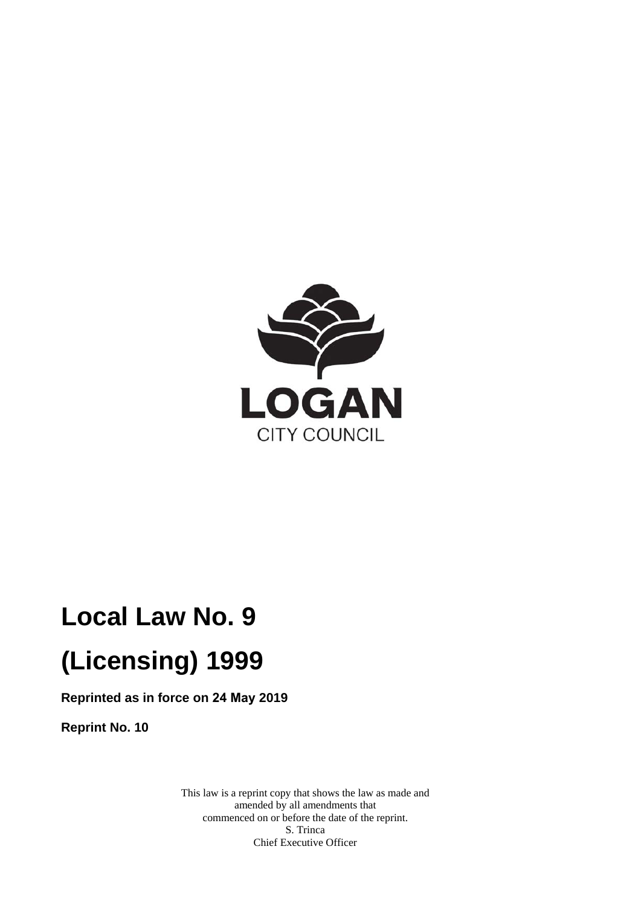

# **Local Law No. 9 (Licensing) 1999**

**Reprinted as in force on 24 May 2019** 

**Reprint No. 10** 

This law is a reprint copy that shows the law as made and amended by all amendments that commenced on or before the date of the reprint. S. Trinca Chief Executive Officer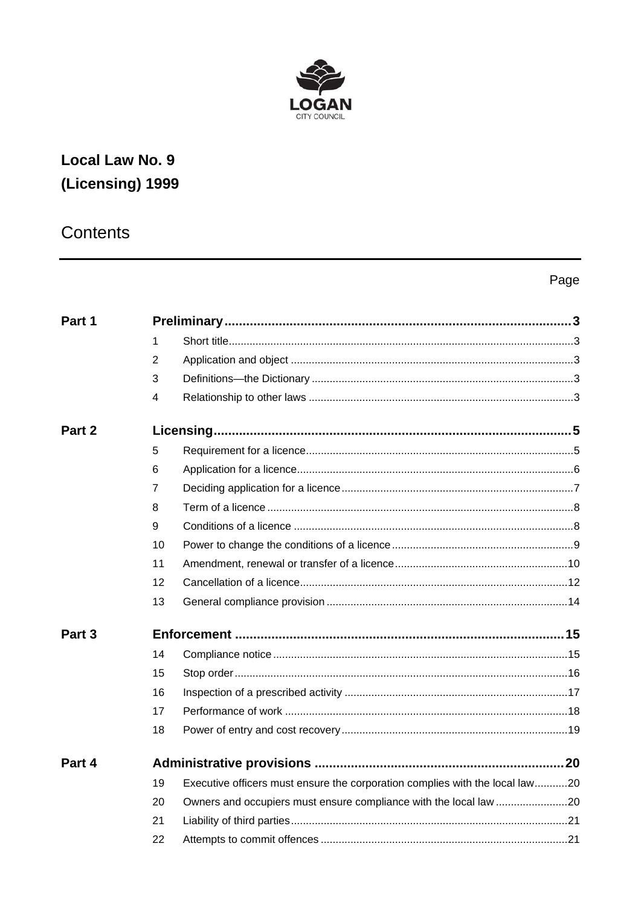

## Local Law No. 9 (Licensing) 1999

## Contents

## Page

| Part 1            |                |                                                                              |  |
|-------------------|----------------|------------------------------------------------------------------------------|--|
|                   | 1              |                                                                              |  |
|                   | $\overline{2}$ |                                                                              |  |
|                   | 3              |                                                                              |  |
|                   | 4              |                                                                              |  |
| Part 2            |                |                                                                              |  |
|                   | 5              |                                                                              |  |
|                   | 6              |                                                                              |  |
|                   | 7              |                                                                              |  |
|                   | 8              |                                                                              |  |
|                   | 9              |                                                                              |  |
|                   | 10             |                                                                              |  |
|                   | 11             |                                                                              |  |
|                   | 12             |                                                                              |  |
|                   | 13             |                                                                              |  |
| Part <sub>3</sub> |                |                                                                              |  |
|                   | 14             |                                                                              |  |
|                   | 15             |                                                                              |  |
|                   | 16             |                                                                              |  |
|                   | 17             |                                                                              |  |
|                   | 18             |                                                                              |  |
| Part 4            |                |                                                                              |  |
|                   | 19             | Executive officers must ensure the corporation complies with the local law20 |  |
|                   | 20             |                                                                              |  |
|                   | 21             |                                                                              |  |
|                   | 22             |                                                                              |  |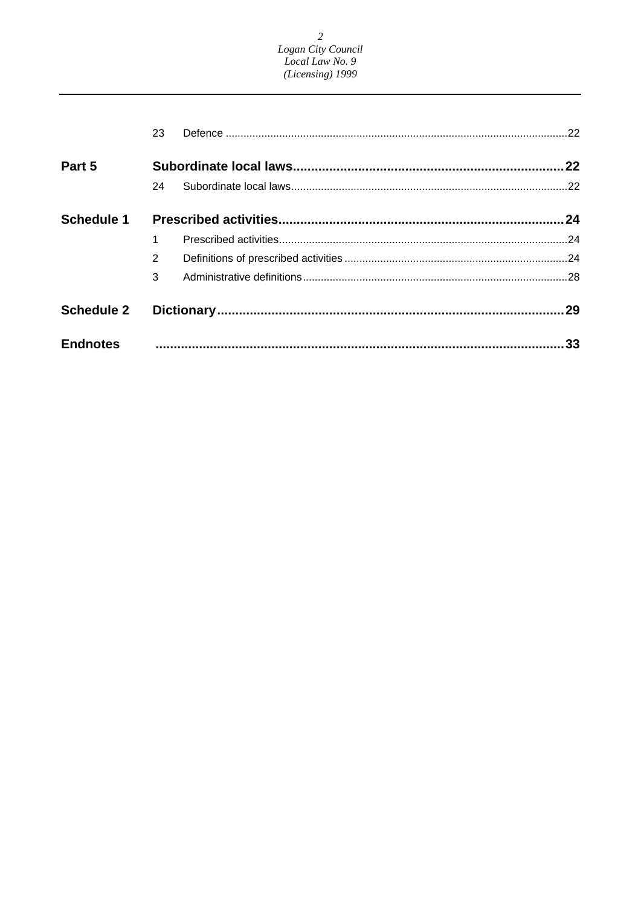2<br>Logan City Council<br>Local Law No. 9<br>(Licensing) 1999

|                   | 23             |  |     |
|-------------------|----------------|--|-----|
| Part 5            |                |  | .22 |
|                   | 24             |  |     |
| <b>Schedule 1</b> |                |  |     |
|                   |                |  |     |
|                   | $\overline{2}$ |  |     |
|                   | 3              |  |     |
| <b>Schedule 2</b> |                |  | .29 |
| <b>Endnotes</b>   |                |  | .33 |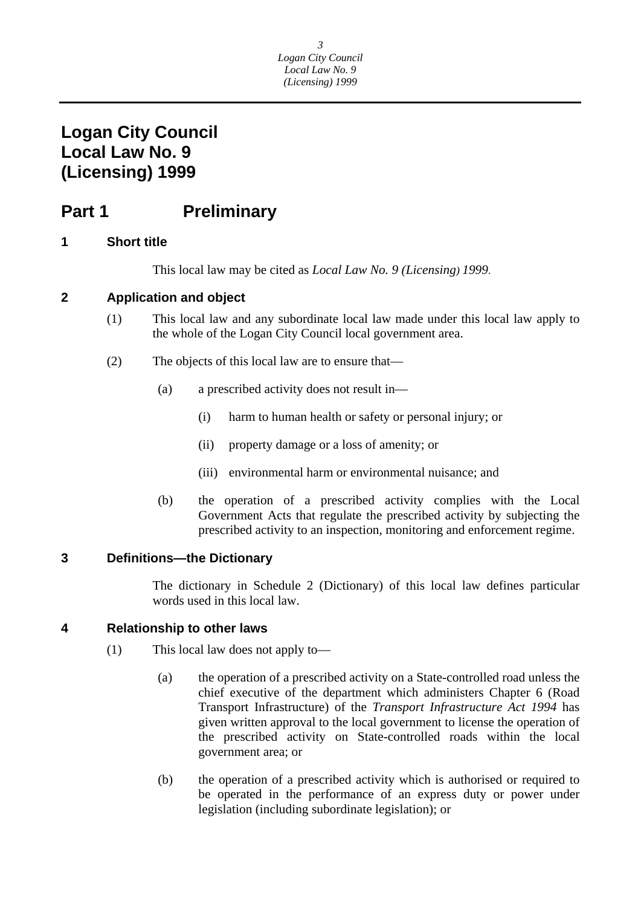## <span id="page-3-0"></span>**Part 1** Preliminary

### **1 Short title**

This local law may be cited as *Local Law No. 9 (Licensing) 1999*.

### **2 Application and object**

- (1) This local law and any subordinate local law made under this local law apply to the whole of the Logan City Council local government area.
- (2) The objects of this local law are to ensure that—
	- (a) a prescribed activity does not result in—
		- (i) harm to human health or safety or personal injury; or
		- (ii) property damage or a loss of amenity; or
		- (iii) environmental harm or environmental nuisance; and
	- (b) the operation of a prescribed activity complies with the Local Government Acts that regulate the prescribed activity by subjecting the prescribed activity to an inspection, monitoring and enforcement regime.

### **3 Definitions—the Dictionary**

The dictionary in Schedule 2 (Dictionary) of this local law defines particular words used in this local law.

### **4 Relationship to other laws**

- (1) This local law does not apply to—
	- (a) the operation of a prescribed activity on a State-controlled road unless the chief executive of the department which administers Chapter 6 (Road Transport Infrastructure) of the *Transport Infrastructure Act 1994* has given written approval to the local government to license the operation of the prescribed activity on State-controlled roads within the local government area; or
	- (b) the operation of a prescribed activity which is authorised or required to be operated in the performance of an express duty or power under legislation (including subordinate legislation); or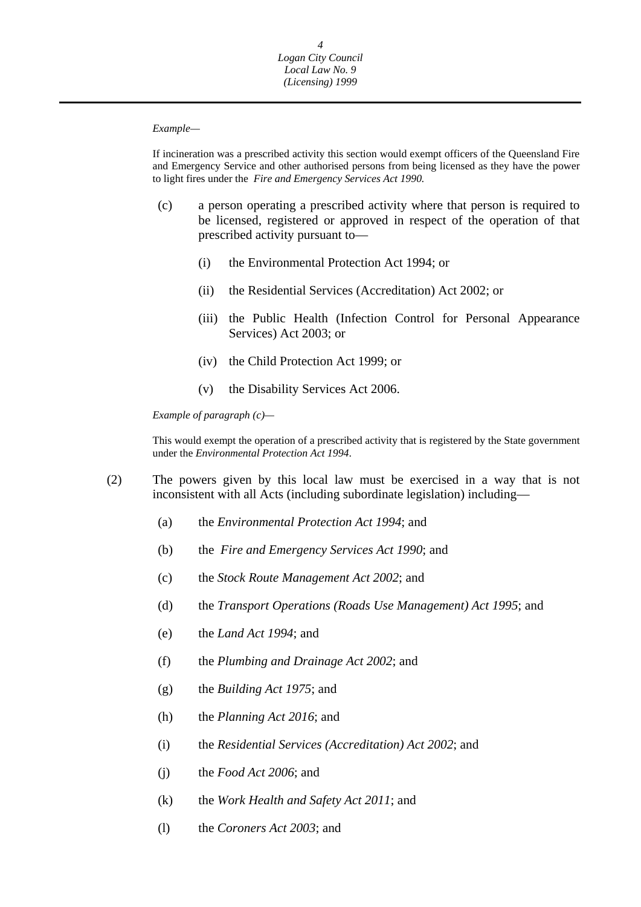#### *Example—*

 to light fires under the *Fire and Emergency Services Act 1990.*  If incineration was a prescribed activity this section would exempt officers of the Queensland Fire and Emergency Service and other authorised persons from being licensed as they have the power

- (c) a person operating a prescribed activity where that person is required to be licensed, registered or approved in respect of the operation of that prescribed activity pursuant to—
	- (i) the Environmental Protection Act 1994; or
	- (ii) the Residential Services (Accreditation) Act 2002; or
	- (iii) the Public Health (Infection Control for Personal Appearance Services) Act 2003; or
	- (iv) the Child Protection Act 1999; or
	- (v) the Disability Services Act 2006.

 *Example of paragraph (c)—* 

This would exempt the operation of a prescribed activity that is registered by the State government under the *Environmental Protection Act 1994*.

- (2) The powers given by this local law must be exercised in a way that is not inconsistent with all Acts (including subordinate legislation) including—
	- (a) the *Environmental Protection Act 1994*; and
	- (b) the *Fire and Emergency Services Act 1990*; and
	- (c) the *Stock Route Management Act 2002*; and
	- (d) the *Transport Operations (Roads Use Management) Act 1995*; and
	- (e) the *Land Act 1994*; and
	- (f) the *Plumbing and Drainage Act 2002*; and
	- (g) the *Building Act 1975*; and
	- (h) the *Planning Act 2016*; and
	- (i) the *Residential Services (Accreditation) Act 2002*; and
	- (j) the *Food Act 2006*; and
	- (k) the *Work Health and Safety Act 2011*; and
	- (l) the *Coroners Act 2003*; and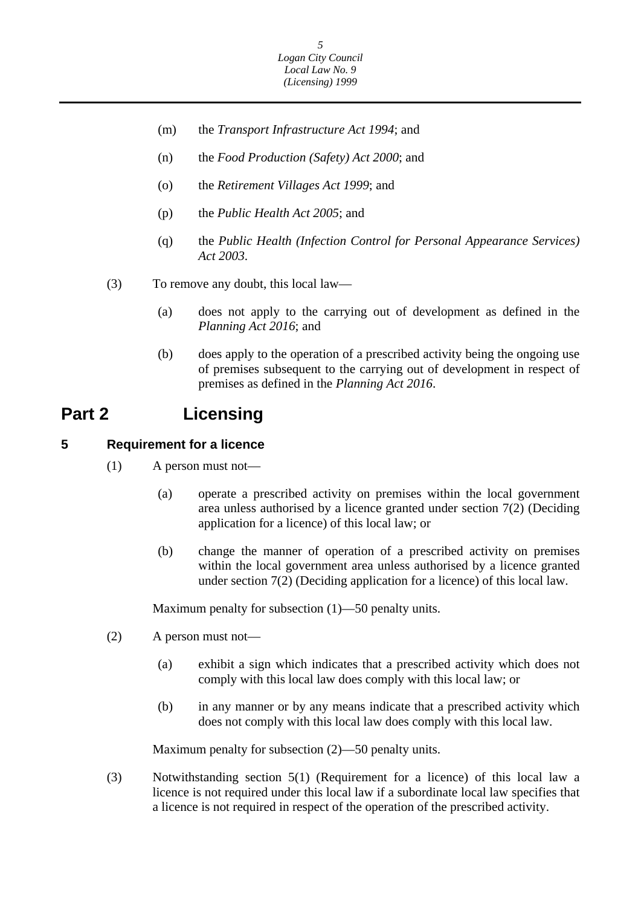- <span id="page-5-0"></span>(m) the *Transport Infrastructure Act 1994*; and
- (n) the *Food Production (Safety) Act 2000*; and
- (o) the *Retirement Villages Act 1999*; and
- (p) the *Public Health Act 2005*; and
- (q) the *Public Health (Infection Control for Personal Appearance Services) Act 2003*.
- (3) To remove any doubt, this local law—
	- (a) does not apply to the carrying out of development as defined in the *Planning Act 2016*; and
	- (b) does apply to the operation of a prescribed activity being the ongoing use of premises subsequent to the carrying out of development in respect of premises as defined in the *Planning Act 2016*.

## **Part 2 Licensing**

#### **5 Requirement for a licence**

- (1) A person must not—
	- (a) operate a prescribed activity on premises within the local government area unless authorised by a licence granted under section 7(2) (Deciding application for a licence) of this local law; or
	- (b) change the manner of operation of a prescribed activity on premises within the local government area unless authorised by a licence granted under section 7(2) (Deciding application for a licence) of this local law.

Maximum penalty for subsection (1)—50 penalty units.

- (2) A person must not—
	- (a) exhibit a sign which indicates that a prescribed activity which does not comply with this local law does comply with this local law; or
	- (b) in any manner or by any means indicate that a prescribed activity which does not comply with this local law does comply with this local law.

Maximum penalty for subsection (2)—50 penalty units.

(3) Notwithstanding section 5(1) (Requirement for a licence) of this local law a licence is not required under this local law if a subordinate local law specifies that a licence is not required in respect of the operation of the prescribed activity.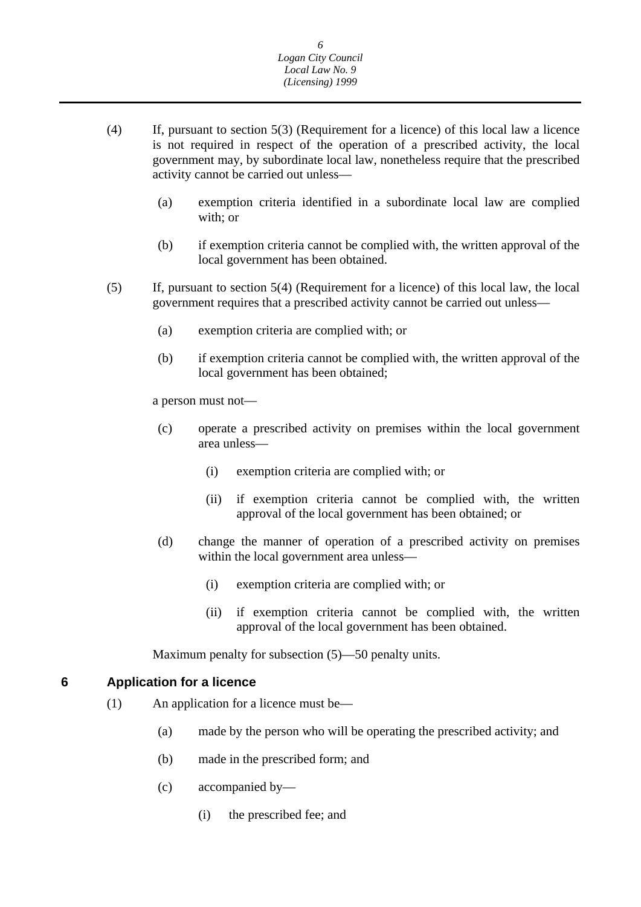- <span id="page-6-0"></span>(4) If, pursuant to section 5(3) (Requirement for a licence) of this local law a licence is not required in respect of the operation of a prescribed activity, the local government may, by subordinate local law, nonetheless require that the prescribed activity cannot be carried out unless—
	- (a) exemption criteria identified in a subordinate local law are complied with; or
	- (b) if exemption criteria cannot be complied with, the written approval of the local government has been obtained.
- (5) If, pursuant to section 5(4) (Requirement for a licence) of this local law, the local government requires that a prescribed activity cannot be carried out unless—
	- (a) exemption criteria are complied with; or
	- (b) if exemption criteria cannot be complied with, the written approval of the local government has been obtained;

a person must not—

- (c) operate a prescribed activity on premises within the local government area unless—
	- (i) exemption criteria are complied with; or
	- (ii) if exemption criteria cannot be complied with, the written approval of the local government has been obtained; or
- (d) change the manner of operation of a prescribed activity on premises within the local government area unless—
	- (i) exemption criteria are complied with; or
	- (ii) if exemption criteria cannot be complied with, the written approval of the local government has been obtained.

Maximum penalty for subsection (5)—50 penalty units.

#### **Application for a licence 6**

- (1) An application for a licence must be—
	- (a) made by the person who will be operating the prescribed activity; and
	- (b) made in the prescribed form; and
	- (c) accompanied by—
		- (i) the prescribed fee; and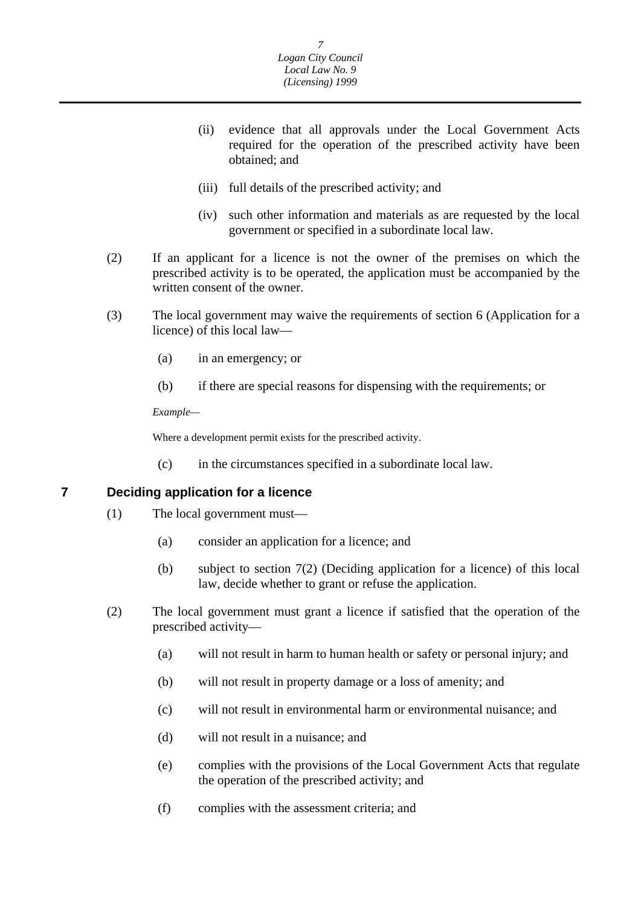- <span id="page-7-0"></span>(ii) evidence that all approvals under the Local Government Acts required for the operation of the prescribed activity have been obtained; and
- (iii) full details of the prescribed activity; and
- (iv) such other information and materials as are requested by the local government or specified in a subordinate local law.
- (2) If an applicant for a licence is not the owner of the premises on which the prescribed activity is to be operated, the application must be accompanied by the written consent of the owner.
- (3) The local government may waive the requirements of section 6 (Application for a licence) of this local law—
	- (a) in an emergency; or
	- (b) if there are special reasons for dispensing with the requirements; or

*Example—* 

Where a development permit exists for the prescribed activity.

(c) in the circumstances specified in a subordinate local law.

**7 Deciding application for a licence** 

- (1) The local government must—
	- (a) consider an application for a licence; and
	- (b) subject to section 7(2) (Deciding application for a licence) of this local law, decide whether to grant or refuse the application.
- (2) The local government must grant a licence if satisfied that the operation of the prescribed activity—
	- (a) will not result in harm to human health or safety or personal injury; and
	- (b) will not result in property damage or a loss of amenity; and
	- (c) will not result in environmental harm or environmental nuisance; and
	- (d) will not result in a nuisance; and
	- (e) complies with the provisions of the Local Government Acts that regulate the operation of the prescribed activity; and
	- (f) complies with the assessment criteria; and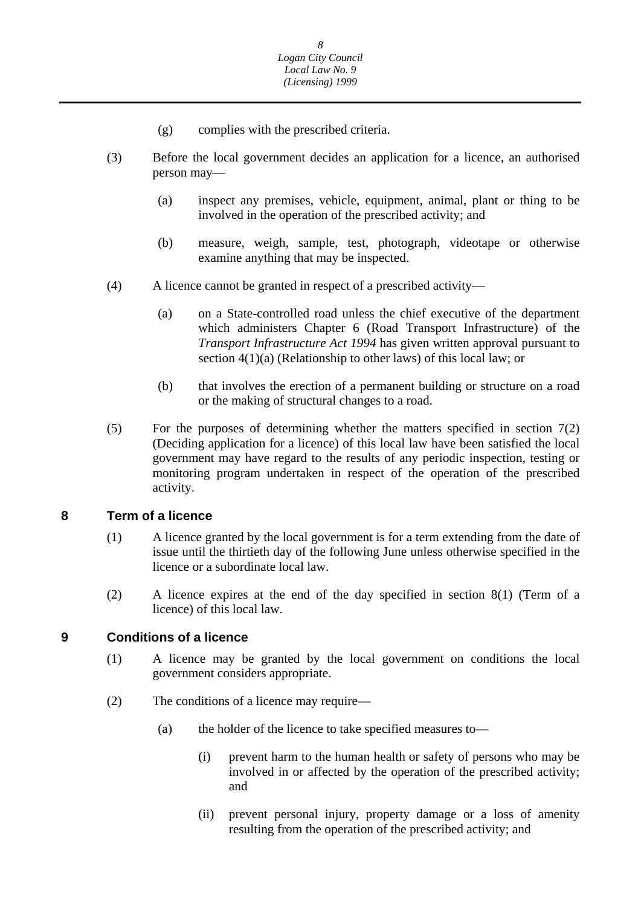- (g) complies with the prescribed criteria.
- <span id="page-8-0"></span>(3) Before the local government decides an application for a licence, an authorised person may—
	- (a) inspect any premises, vehicle, equipment, animal, plant or thing to be involved in the operation of the prescribed activity; and
	- (b) measure, weigh, sample, test, photograph, videotape or otherwise examine anything that may be inspected.
- (4) A licence cannot be granted in respect of a prescribed activity—
	- (a) on a State-controlled road unless the chief executive of the department which administers Chapter 6 (Road Transport Infrastructure) of the *Transport Infrastructure Act 1994* has given written approval pursuant to section 4(1)(a) (Relationship to other laws) of this local law; or
	- (b) that involves the erection of a permanent building or structure on a road or the making of structural changes to a road.
- (5) For the purposes of determining whether the matters specified in section 7(2) (Deciding application for a licence) of this local law have been satisfied the local government may have regard to the results of any periodic inspection, testing or monitoring program undertaken in respect of the operation of the prescribed activity.

#### **8 Term of a licence**

- (1) A licence granted by the local government is for a term extending from the date of issue until the thirtieth day of the following June unless otherwise specified in the licence or a subordinate local law.
- (2) A licence expires at the end of the day specified in section 8(1) (Term of a licence) of this local law.

#### **9 Conditions of a licence**

- (1) A licence may be granted by the local government on conditions the local government considers appropriate.
- (2) The conditions of a licence may require—
	- (a) the holder of the licence to take specified measures to—
		- (i) prevent harm to the human health or safety of persons who may be involved in or affected by the operation of the prescribed activity; and
		- (ii) prevent personal injury, property damage or a loss of amenity resulting from the operation of the prescribed activity; and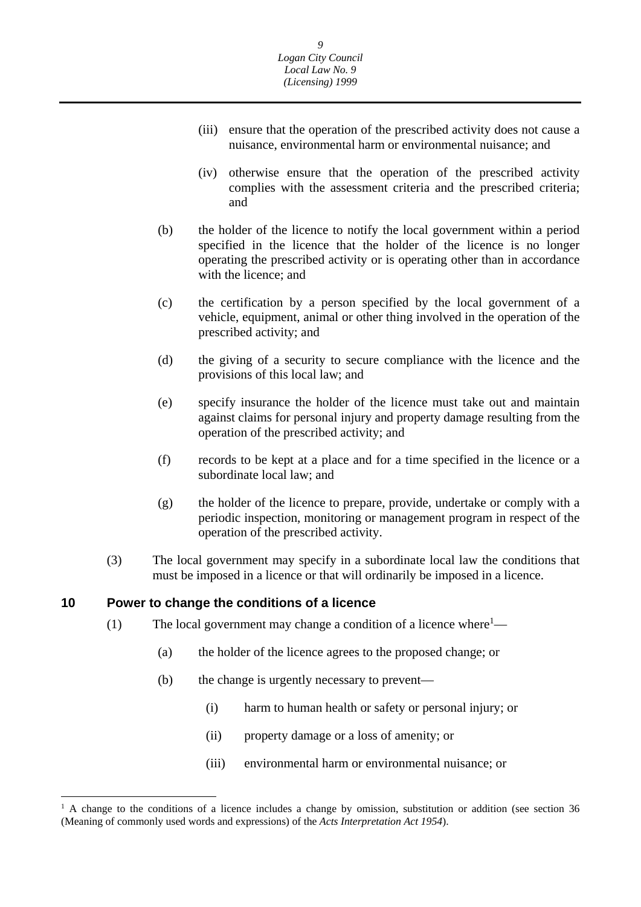- <span id="page-9-0"></span>(iii) ensure that the operation of the prescribed activity does not cause a nuisance, environmental harm or environmental nuisance; and
- (iv) otherwise ensure that the operation of the prescribed activity complies with the assessment criteria and the prescribed criteria; and
- (b) the holder of the licence to notify the local government within a period specified in the licence that the holder of the licence is no longer operating the prescribed activity or is operating other than in accordance with the licence; and
- (c) the certification by a person specified by the local government of a vehicle, equipment, animal or other thing involved in the operation of the prescribed activity; and
- (d) the giving of a security to secure compliance with the licence and the provisions of this local law; and
- (e) specify insurance the holder of the licence must take out and maintain against claims for personal injury and property damage resulting from the operation of the prescribed activity; and
- (f) records to be kept at a place and for a time specified in the licence or a subordinate local law; and
- (g) the holder of the licence to prepare, provide, undertake or comply with a periodic inspection, monitoring or management program in respect of the operation of the prescribed activity.
- (3) The local government may specify in a subordinate local law the conditions that must be imposed in a licence or that will ordinarily be imposed in a licence.

#### **10 Power to change the conditions of a licence**

 $\overline{a}$ 

- (1) The local government may change a condition of a licence where<sup>1</sup>—
	- (a) the holder of the licence agrees to the proposed change; or
	- (b) the change is urgently necessary to prevent—
		- (i) harm to human health or safety or personal injury; or
		- (ii) property damage or a loss of amenity; or
		- (iii) environmental harm or environmental nuisance; or

<sup>&</sup>lt;sup>1</sup> A change to the conditions of a licence includes a change by omission, substitution or addition (see section 36 (Meaning of commonly used words and expressions) of the *Acts Interpretation Act 1954*).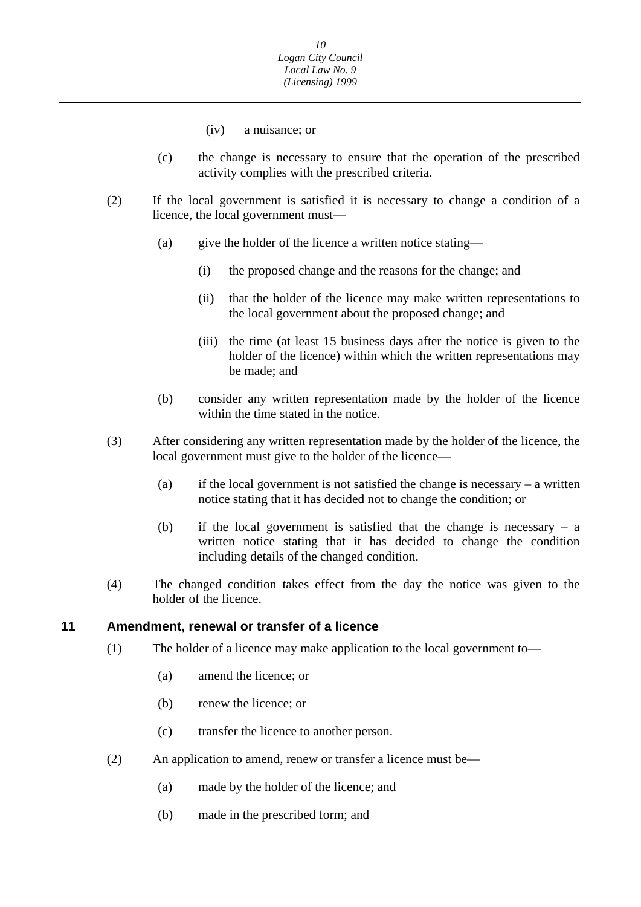- (iv) a nuisance; or
- <span id="page-10-0"></span>(c) the change is necessary to ensure that the operation of the prescribed activity complies with the prescribed criteria.
- (2) If the local government is satisfied it is necessary to change a condition of a licence, the local government must—
	- (a) give the holder of the licence a written notice stating—
		- (i) the proposed change and the reasons for the change; and
		- (ii) that the holder of the licence may make written representations to the local government about the proposed change; and
		- (iii) the time (at least 15 business days after the notice is given to the holder of the licence) within which the written representations may be made; and
	- (b) consider any written representation made by the holder of the licence within the time stated in the notice.
- (3) After considering any written representation made by the holder of the licence, the local government must give to the holder of the licence—
	- (a) if the local government is not satisfied the change is necessary a written notice stating that it has decided not to change the condition; or
	- (b) if the local government is satisfied that the change is necessary a written notice stating that it has decided to change the condition including details of the changed condition.
- (4) The changed condition takes effect from the day the notice was given to the holder of the licence.

#### **11 Amendment, renewal or transfer of a licence**

- (1) The holder of a licence may make application to the local government to—
	- (a) amend the licence; or
	- (b) renew the licence; or
	- (c) transfer the licence to another person.
- (2) An application to amend, renew or transfer a licence must be—
	- (a) made by the holder of the licence; and
	- (b) made in the prescribed form; and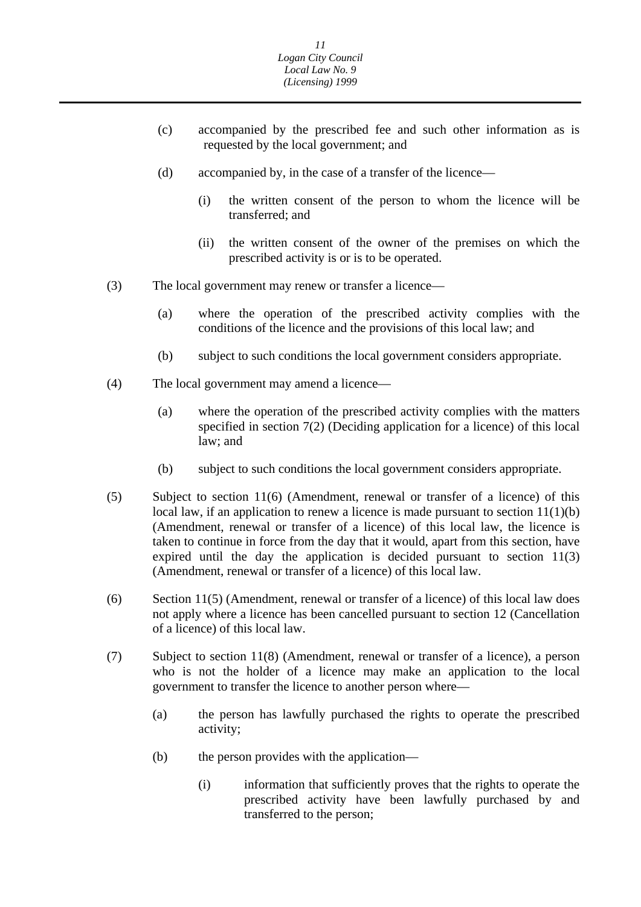- (c) accompanied by the prescribed fee and such other information as is requested by the local government; and
- (d) accompanied by, in the case of a transfer of the licence—
	- (i) the written consent of the person to whom the licence will be transferred; and
	- (ii) the written consent of the owner of the premises on which the prescribed activity is or is to be operated.
- (3) The local government may renew or transfer a licence—
	- (a) where the operation of the prescribed activity complies with the conditions of the licence and the provisions of this local law; and
	- (b) subject to such conditions the local government considers appropriate.
- (4) The local government may amend a licence—
	- (a) where the operation of the prescribed activity complies with the matters specified in section 7(2) (Deciding application for a licence) of this local law; and
	- (b) subject to such conditions the local government considers appropriate.
- (5) Subject to section 11(6) (Amendment, renewal or transfer of a licence) of this local law, if an application to renew a licence is made pursuant to section  $11(1)(b)$ (Amendment, renewal or transfer of a licence) of this local law, the licence is taken to continue in force from the day that it would, apart from this section, have expired until the day the application is decided pursuant to section 11(3) (Amendment, renewal or transfer of a licence) of this local law.
- (6) Section 11(5) (Amendment, renewal or transfer of a licence) of this local law does not apply where a licence has been cancelled pursuant to section 12 (Cancellation of a licence) of this local law.
- (7) Subject to section 11(8) (Amendment, renewal or transfer of a licence), a person who is not the holder of a licence may make an application to the local government to transfer the licence to another person where—
	- (a) the person has lawfully purchased the rights to operate the prescribed activity;
	- (b) the person provides with the application—
		- (i) information that sufficiently proves that the rights to operate the prescribed activity have been lawfully purchased by and transferred to the person;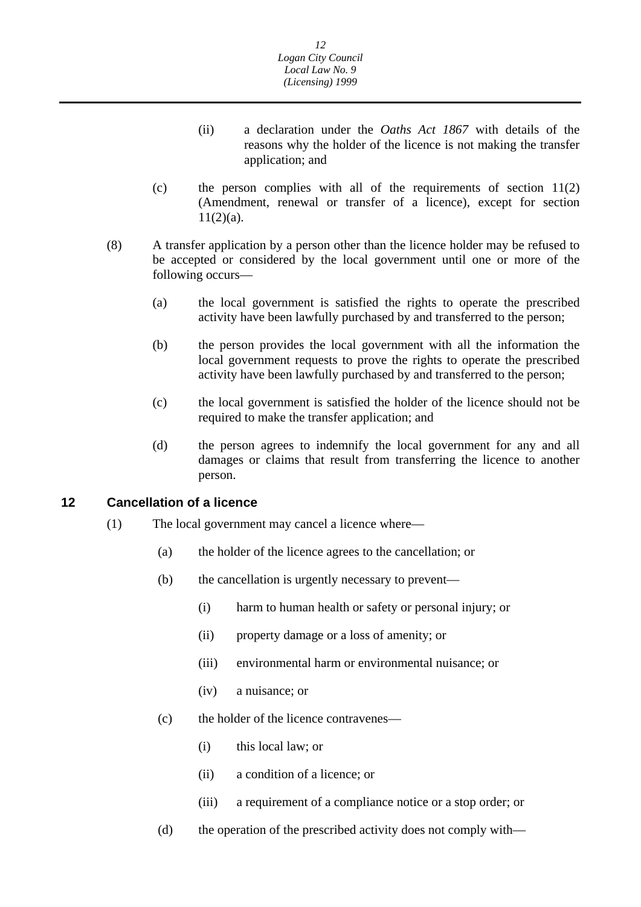- <span id="page-12-0"></span>(ii) a declaration under the *Oaths Act 1867* with details of the reasons why the holder of the licence is not making the transfer application; and
- (c) the person complies with all of the requirements of section 11(2) (Amendment, renewal or transfer of a licence), except for section  $11(2)(a)$ .
- (8) A transfer application by a person other than the licence holder may be refused to be accepted or considered by the local government until one or more of the following occurs—
	- (a) the local government is satisfied the rights to operate the prescribed activity have been lawfully purchased by and transferred to the person;
	- (b) the person provides the local government with all the information the local government requests to prove the rights to operate the prescribed activity have been lawfully purchased by and transferred to the person;
	- (c) the local government is satisfied the holder of the licence should not be required to make the transfer application; and
	- (d) the person agrees to indemnify the local government for any and all damages or claims that result from transferring the licence to another person.

#### **12 Cancellation of a licence**

- (1) The local government may cancel a licence where—
	- (a) the holder of the licence agrees to the cancellation; or
	- (b) the cancellation is urgently necessary to prevent—
		- (i) harm to human health or safety or personal injury; or
		- (ii) property damage or a loss of amenity; or
		- (iii) environmental harm or environmental nuisance; or
		- (iv) a nuisance; or
	- (c) the holder of the licence contravenes—
		- (i) this local law; or
		- (ii) a condition of a licence; or
		- (iii) a requirement of a compliance notice or a stop order; or
	- (d) the operation of the prescribed activity does not comply with—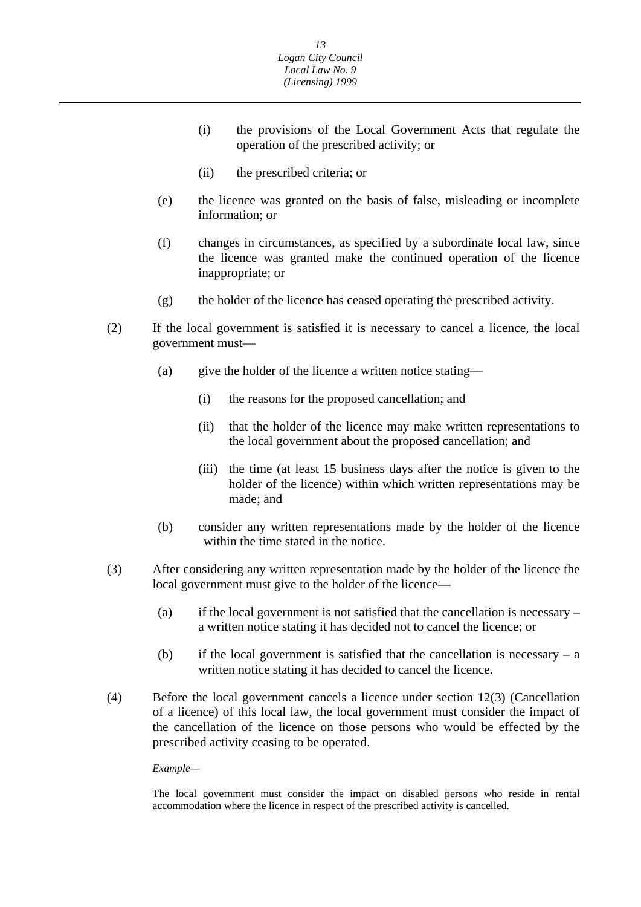- (i) the provisions of the Local Government Acts that regulate the operation of the prescribed activity; or
- (ii) the prescribed criteria; or
- (e) the licence was granted on the basis of false, misleading or incomplete information; or
- (f) changes in circumstances, as specified by a subordinate local law, since the licence was granted make the continued operation of the licence inappropriate; or
- (g) the holder of the licence has ceased operating the prescribed activity.
- (2) If the local government is satisfied it is necessary to cancel a licence, the local government must—
	- (a) give the holder of the licence a written notice stating—
		- (i) the reasons for the proposed cancellation; and
		- (ii) that the holder of the licence may make written representations to the local government about the proposed cancellation; and
		- (iii) the time (at least 15 business days after the notice is given to the holder of the licence) within which written representations may be made; and
	- (b) consider any written representations made by the holder of the licence within the time stated in the notice.
- (3) After considering any written representation made by the holder of the licence the local government must give to the holder of the licence—
	- (a) if the local government is not satisfied that the cancellation is necessary a written notice stating it has decided not to cancel the licence; or
	- (b) if the local government is satisfied that the cancellation is necessary  $a$ written notice stating it has decided to cancel the licence.
- (4) Before the local government cancels a licence under section 12(3) (Cancellation of a licence) of this local law, the local government must consider the impact of the cancellation of the licence on those persons who would be effected by the prescribed activity ceasing to be operated.

*Example—* 

The local government must consider the impact on disabled persons who reside in rental accommodation where the licence in respect of the prescribed activity is cancelled.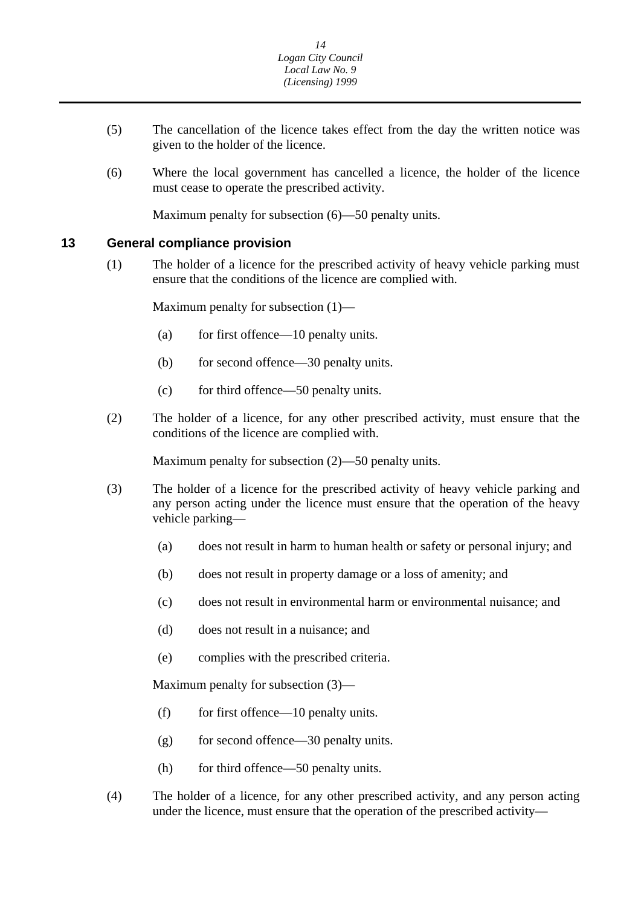- <span id="page-14-0"></span>(5) The cancellation of the licence takes effect from the day the written notice was given to the holder of the licence.
- (6) Where the local government has cancelled a licence, the holder of the licence must cease to operate the prescribed activity.

Maximum penalty for subsection (6)—50 penalty units.

#### **13 General compliance provision**

(1) The holder of a licence for the prescribed activity of heavy vehicle parking must ensure that the conditions of the licence are complied with.

Maximum penalty for subsection (1)—

- (a) for first offence—10 penalty units.
- (b) for second offence—30 penalty units.
- (c) for third offence—50 penalty units.
- (2) The holder of a licence, for any other prescribed activity, must ensure that the conditions of the licence are complied with.

Maximum penalty for subsection (2)—50 penalty units.

- (3) The holder of a licence for the prescribed activity of heavy vehicle parking and any person acting under the licence must ensure that the operation of the heavy vehicle parking—
	- (a) does not result in harm to human health or safety or personal injury; and
	- (b) does not result in property damage or a loss of amenity; and
	- (c) does not result in environmental harm or environmental nuisance; and
	- (d) does not result in a nuisance; and
	- (e) complies with the prescribed criteria.

Maximum penalty for subsection (3)—

- (f) for first offence—10 penalty units.
- $(g)$  for second offence—30 penalty units.
- (h) for third offence—50 penalty units.
- (4) The holder of a licence, for any other prescribed activity, and any person acting under the licence, must ensure that the operation of the prescribed activity—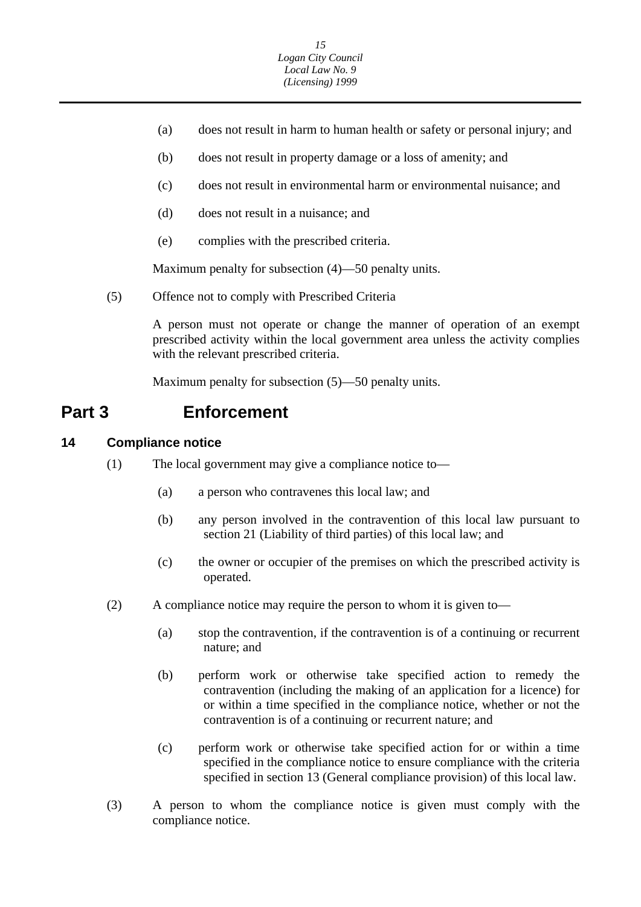- <span id="page-15-0"></span>(a) does not result in harm to human health or safety or personal injury; and
- (b) does not result in property damage or a loss of amenity; and
- (c) does not result in environmental harm or environmental nuisance; and
- (d) does not result in a nuisance; and
- (e) complies with the prescribed criteria.

Maximum penalty for subsection (4)—50 penalty units.

(5) Offence not to comply with Prescribed Criteria

A person must not operate or change the manner of operation of an exempt prescribed activity within the local government area unless the activity complies with the relevant prescribed criteria.

Maximum penalty for subsection (5)—50 penalty units.

### **Part 3 Enforcement**

#### **14 Compliance notice**

- (1) The local government may give a compliance notice to—
	- (a) a person who contravenes this local law; and
	- (b) any person involved in the contravention of this local law pursuant to section 21 (Liability of third parties) of this local law; and
	- (c) the owner or occupier of the premises on which the prescribed activity is operated.
- (2) A compliance notice may require the person to whom it is given to—
	- (a) stop the contravention, if the contravention is of a continuing or recurrent nature; and
	- (b) perform work or otherwise take specified action to remedy the contravention (including the making of an application for a licence) for or within a time specified in the compliance notice, whether or not the contravention is of a continuing or recurrent nature; and
	- (c) perform work or otherwise take specified action for or within a time specified in the compliance notice to ensure compliance with the criteria specified in section 13 (General compliance provision) of this local law.
- (3) A person to whom the compliance notice is given must comply with the compliance notice.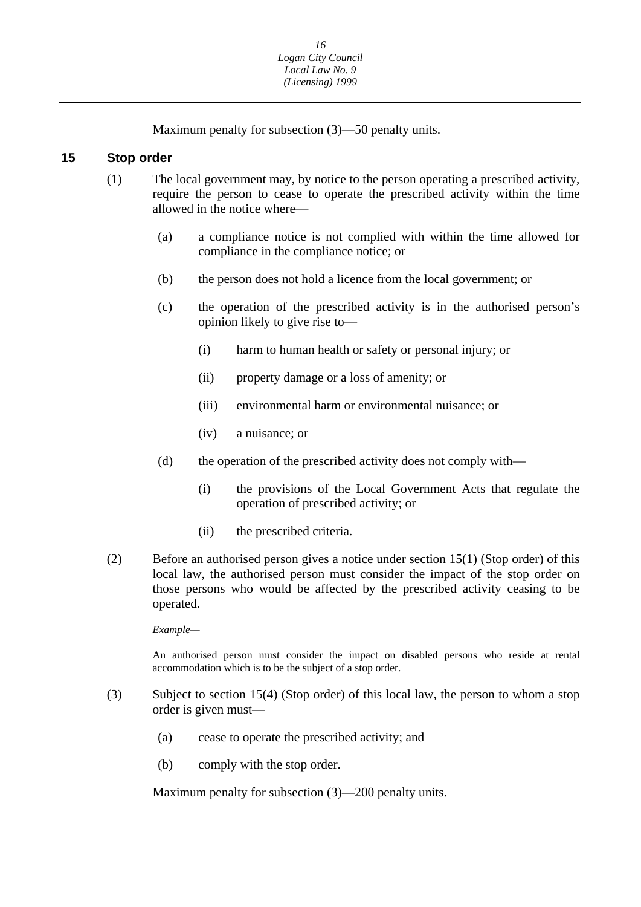Maximum penalty for subsection (3)—50 penalty units.

#### <span id="page-16-0"></span>**15 Stop order**

- (1) The local government may, by notice to the person operating a prescribed activity, require the person to cease to operate the prescribed activity within the time allowed in the notice where—
	- (a) a compliance notice is not complied with within the time allowed for compliance in the compliance notice; or
	- (b) the person does not hold a licence from the local government; or
	- (c) the operation of the prescribed activity is in the authorised person's opinion likely to give rise to—
		- (i) harm to human health or safety or personal injury; or
		- (ii) property damage or a loss of amenity; or
		- (iii) environmental harm or environmental nuisance; or
		- (iv) a nuisance; or
	- (d) the operation of the prescribed activity does not comply with—
		- (i) the provisions of the Local Government Acts that regulate the operation of prescribed activity; or
		- (ii) the prescribed criteria.
- (2) Before an authorised person gives a notice under section 15(1) (Stop order) of this local law, the authorised person must consider the impact of the stop order on those persons who would be affected by the prescribed activity ceasing to be operated.

*Example—* 

An authorised person must consider the impact on disabled persons who reside at rental accommodation which is to be the subject of a stop order.

- (3) Subject to section 15(4) (Stop order) of this local law, the person to whom a stop order is given must—
	- (a) cease to operate the prescribed activity; and
	- (b) comply with the stop order.

Maximum penalty for subsection (3)—200 penalty units.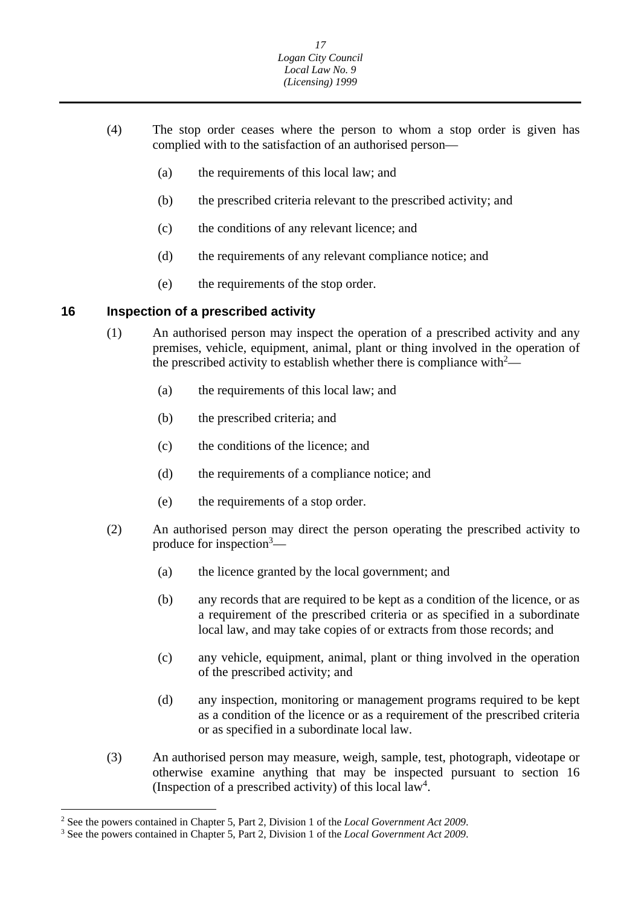- <span id="page-17-0"></span>(4) The stop order ceases where the person to whom a stop order is given has complied with to the satisfaction of an authorised person—
	- (a) the requirements of this local law; and
	- (b) the prescribed criteria relevant to the prescribed activity; and
	- (c) the conditions of any relevant licence; and
	- (d) the requirements of any relevant compliance notice; and
	- (e) the requirements of the stop order.

#### **16 Inspection of a prescribed activity**

- (1) An authorised person may inspect the operation of a prescribed activity and any premises, vehicle, equipment, animal, plant or thing involved in the operation of the prescribed activity to establish whether there is compliance with  $2$ —
	- (a) the requirements of this local law; and
	- (b) the prescribed criteria; and
	- (c) the conditions of the licence; and
	- (d) the requirements of a compliance notice; and
	- (e) the requirements of a stop order.
- (2) An authorised person may direct the person operating the prescribed activity to produce for inspection<sup>3</sup>—
	- (a) the licence granted by the local government; and
	- (b) any records that are required to be kept as a condition of the licence, or as a requirement of the prescribed criteria or as specified in a subordinate local law, and may take copies of or extracts from those records; and
	- (c) any vehicle, equipment, animal, plant or thing involved in the operation of the prescribed activity; and
	- (d) any inspection, monitoring or management programs required to be kept as a condition of the licence or as a requirement of the prescribed criteria or as specified in a subordinate local law.
- (3) An authorised person may measure, weigh, sample, test, photograph, videotape or otherwise examine anything that may be inspected pursuant to section 16 (Inspection of a prescribed activity) of this local law<sup>4</sup>.

 $\overline{a}$ 

<sup>&</sup>lt;sup>2</sup> See the powers contained in Chapter 5, Part 2, Division 1 of the *Local Government Act 2009*.

<sup>&</sup>lt;sup>3</sup> See the powers contained in Chapter 5, Part 2, Division 1 of the *Local Government Act 2009*.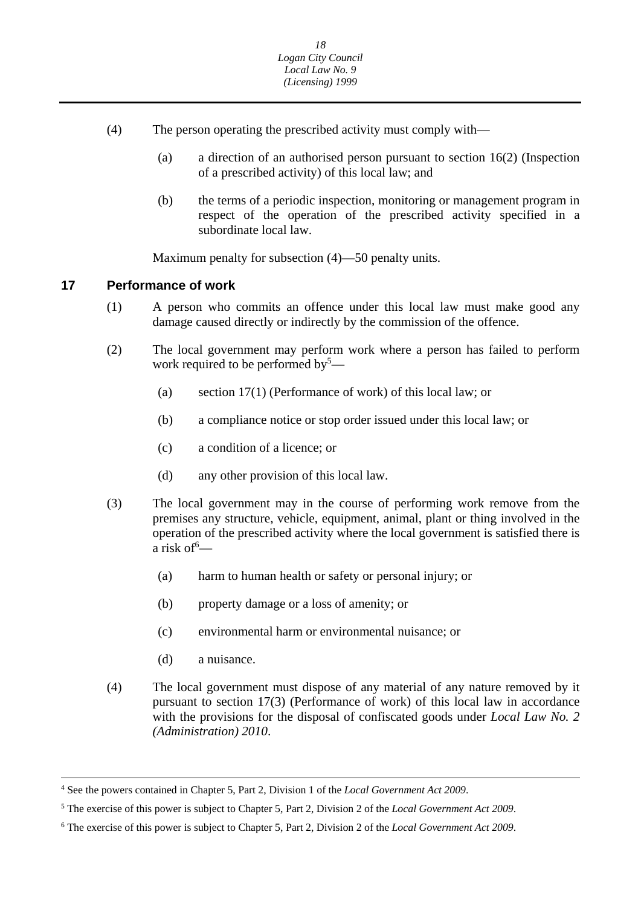- <span id="page-18-0"></span>(4) The person operating the prescribed activity must comply with—
	- (a) a direction of an authorised person pursuant to section 16(2) (Inspection of a prescribed activity) of this local law; and
	- (b) the terms of a periodic inspection, monitoring or management program in respect of the operation of the prescribed activity specified in a subordinate local law.

Maximum penalty for subsection (4)—50 penalty units.

#### **17 Performance of work**

- (1) A person who commits an offence under this local law must make good any damage caused directly or indirectly by the commission of the offence.
- (2) The local government may perform work where a person has failed to perform work required to be performed by<sup>5</sup>—
	- (a) section 17(1) (Performance of work) of this local law; or
	- (b) a compliance notice or stop order issued under this local law; or
	- (c) a condition of a licence; or
	- (d) any other provision of this local law.
- (3) The local government may in the course of performing work remove from the premises any structure, vehicle, equipment, animal, plant or thing involved in the operation of the prescribed activity where the local government is satisfied there is a risk of  $\overline{C}$ 
	- (a) harm to human health or safety or personal injury; or
	- (b) property damage or a loss of amenity; or
	- (c) environmental harm or environmental nuisance; or
	- (d) a nuisance.

 $\overline{a}$ 

(4) The local government must dispose of any material of any nature removed by it pursuant to section 17(3) (Performance of work) of this local law in accordance with the provisions for the disposal of confiscated goods under *Local Law No. 2 (Administration) 2010*.

<sup>4</sup> See the powers contained in Chapter 5, Part 2, Division 1 of the *Local Government Act 2009*.

 5 The exercise of this power is subject to Chapter 5, Part 2, Division 2 of the *Local Government Act 2009*.

 6 The exercise of this power is subject to Chapter 5, Part 2, Division 2 of the *Local Government Act 2009*.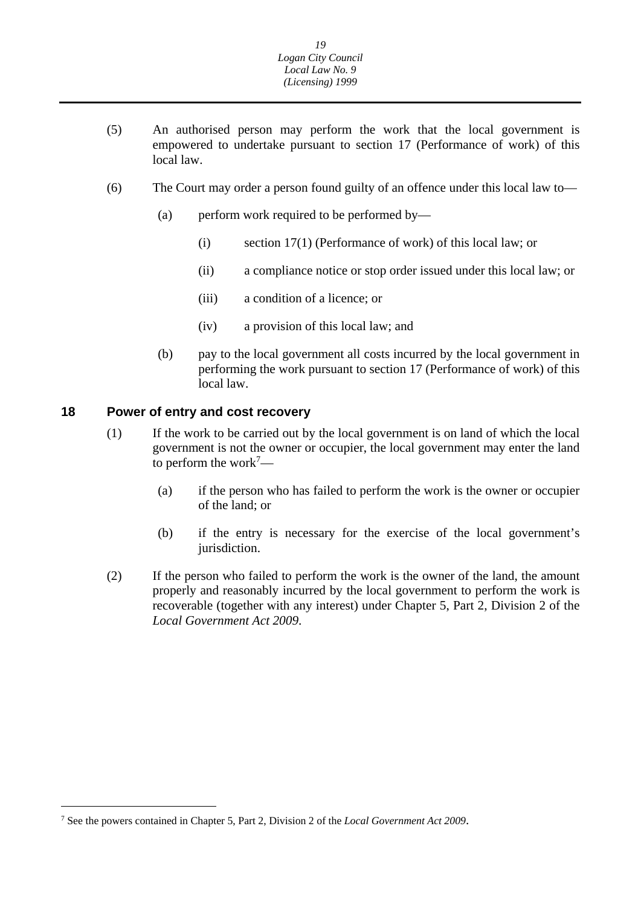- <span id="page-19-0"></span>(5) An authorised person may perform the work that the local government is empowered to undertake pursuant to section 17 (Performance of work) of this local law.
- (6) The Court may order a person found guilty of an offence under this local law to—
	- (a) perform work required to be performed by—
		- (i) section 17(1) (Performance of work) of this local law; or
		- (ii) a compliance notice or stop order issued under this local law; or
		- (iii) a condition of a licence; or
		- (iv) a provision of this local law; and
	- (b) pay to the local government all costs incurred by the local government in performing the work pursuant to section 17 (Performance of work) of this local law.

#### **18 Power of entry and cost recovery**

- (1) If the work to be carried out by the local government is on land of which the local government is not the owner or occupier, the local government may enter the land to perform the work<sup>7</sup>—
	- (a) if the person who has failed to perform the work is the owner or occupier of the land; or
	- (b) if the entry is necessary for the exercise of the local government's jurisdiction.
- (2) If the person who failed to perform the work is the owner of the land, the amount properly and reasonably incurred by the local government to perform the work is recoverable (together with any interest) under Chapter 5, Part 2, Division 2 of the *Local Government Act 2009*.

<sup>7</sup> See the powers contained in Chapter 5, Part 2, Division 2 of the *Local Government Act 2009*.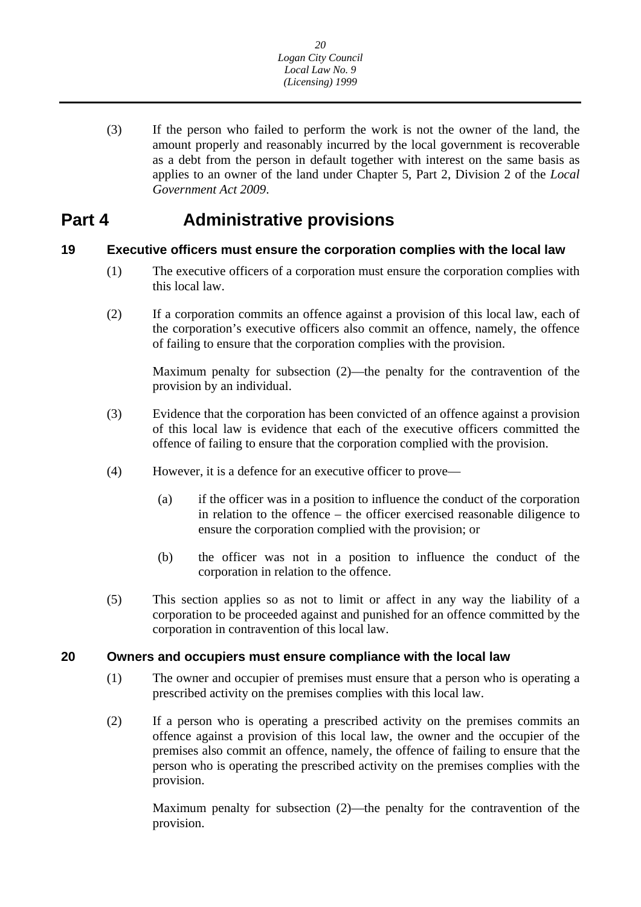<span id="page-20-0"></span>(3) If the person who failed to perform the work is not the owner of the land, the amount properly and reasonably incurred by the local government is recoverable as a debt from the person in default together with interest on the same basis as applies to an owner of the land under Chapter 5, Part 2, Division 2 of the *Local Government Act 2009*.

## **Part 4 Administrative provisions**

### **19 Executive officers must ensure the corporation complies with the local law**

- (1) The executive officers of a corporation must ensure the corporation complies with this local law.
- (2) If a corporation commits an offence against a provision of this local law, each of the corporation's executive officers also commit an offence, namely, the offence of failing to ensure that the corporation complies with the provision.

Maximum penalty for subsection (2)—the penalty for the contravention of the provision by an individual.

- (3) Evidence that the corporation has been convicted of an offence against a provision of this local law is evidence that each of the executive officers committed the offence of failing to ensure that the corporation complied with the provision.
- (4) However, it is a defence for an executive officer to prove—
	- (a) if the officer was in a position to influence the conduct of the corporation in relation to the offence – the officer exercised reasonable diligence to ensure the corporation complied with the provision; or
	- (b) the officer was not in a position to influence the conduct of the corporation in relation to the offence.
- (5) This section applies so as not to limit or affect in any way the liability of a corporation to be proceeded against and punished for an offence committed by the corporation in contravention of this local law.

#### **20 Owners and occupiers must ensure compliance with the local law**

- (1) The owner and occupier of premises must ensure that a person who is operating a prescribed activity on the premises complies with this local law.
- (2) If a person who is operating a prescribed activity on the premises commits an offence against a provision of this local law, the owner and the occupier of the premises also commit an offence, namely, the offence of failing to ensure that the person who is operating the prescribed activity on the premises complies with the provision.

Maximum penalty for subsection (2)—the penalty for the contravention of the provision.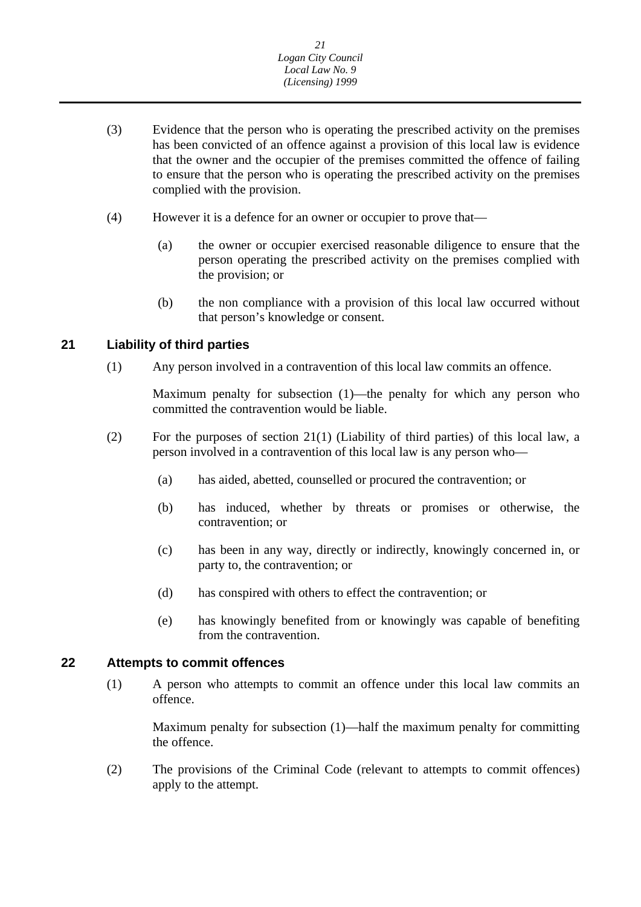- <span id="page-21-0"></span>(3) Evidence that the person who is operating the prescribed activity on the premises has been convicted of an offence against a provision of this local law is evidence that the owner and the occupier of the premises committed the offence of failing to ensure that the person who is operating the prescribed activity on the premises complied with the provision.
- (4) However it is a defence for an owner or occupier to prove that—
	- (a) the owner or occupier exercised reasonable diligence to ensure that the person operating the prescribed activity on the premises complied with the provision; or
	- (b) the non compliance with a provision of this local law occurred without that person's knowledge or consent.

### **21 Liability of third parties**

(1) Any person involved in a contravention of this local law commits an offence.

Maximum penalty for subsection (1)—the penalty for which any person who committed the contravention would be liable.

- (2) For the purposes of section 21(1) (Liability of third parties) of this local law, a person involved in a contravention of this local law is any person who—
	- (a) has aided, abetted, counselled or procured the contravention; or
	- (b) has induced, whether by threats or promises or otherwise, the contravention; or
	- (c) has been in any way, directly or indirectly, knowingly concerned in, or party to, the contravention; or
	- (d) has conspired with others to effect the contravention; or
	- (e) has knowingly benefited from or knowingly was capable of benefiting from the contravention.

#### **22 Attempts to commit offences**

(1) A person who attempts to commit an offence under this local law commits an offence.

Maximum penalty for subsection (1)—half the maximum penalty for committing the offence.

(2) The provisions of the Criminal Code (relevant to attempts to commit offences) apply to the attempt.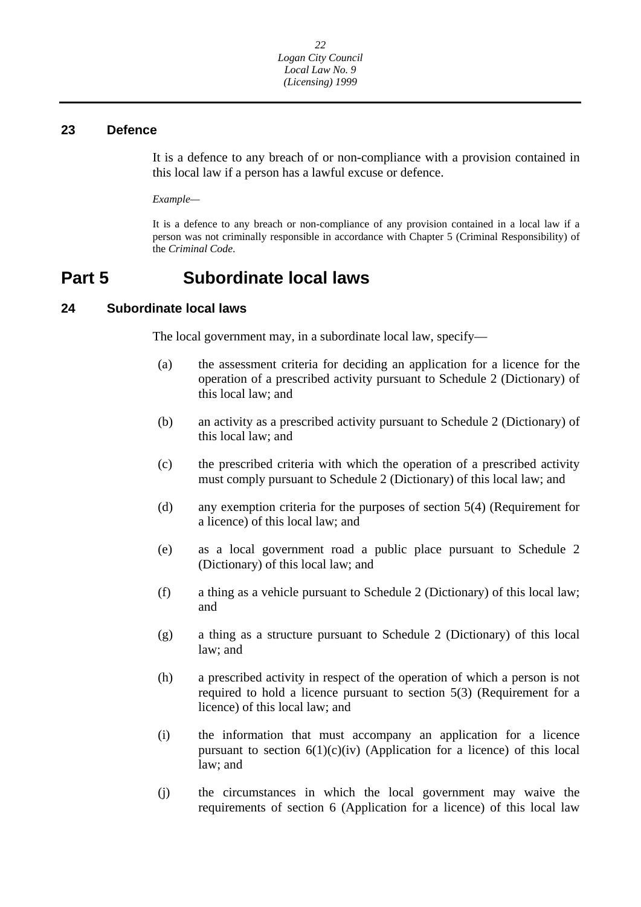#### <span id="page-22-0"></span>**23 Defence**

It is a defence to any breach of or non-compliance with a provision contained in this local law if a person has a lawful excuse or defence.

*Example—* 

 It is a defence to any breach or non-compliance of any provision contained in a local law if a person was not criminally responsible in accordance with Chapter 5 (Criminal Responsibility) of the *Criminal Code*.

## **Part 5 Subordinate local laws**

#### **24 Subordinate local laws**

The local government may, in a subordinate local law, specify—

- (a) the assessment criteria for deciding an application for a licence for the operation of a prescribed activity pursuant to Schedule 2 (Dictionary) of this local law; and
- (b) an activity as a prescribed activity pursuant to Schedule 2 (Dictionary) of this local law; and
- (c) the prescribed criteria with which the operation of a prescribed activity must comply pursuant to Schedule 2 (Dictionary) of this local law; and
- (d) any exemption criteria for the purposes of section 5(4) (Requirement for a licence) of this local law; and
- (e) as a local government road a public place pursuant to Schedule 2 (Dictionary) of this local law; and
- (f) a thing as a vehicle pursuant to Schedule 2 (Dictionary) of this local law; and
- (g) a thing as a structure pursuant to Schedule 2 (Dictionary) of this local law; and
- (h) a prescribed activity in respect of the operation of which a person is not required to hold a licence pursuant to section 5(3) (Requirement for a licence) of this local law; and
- (i) the information that must accompany an application for a licence pursuant to section  $6(1)(c)(iv)$  (Application for a licence) of this local law; and
- (j) the circumstances in which the local government may waive the requirements of section 6 (Application for a licence) of this local law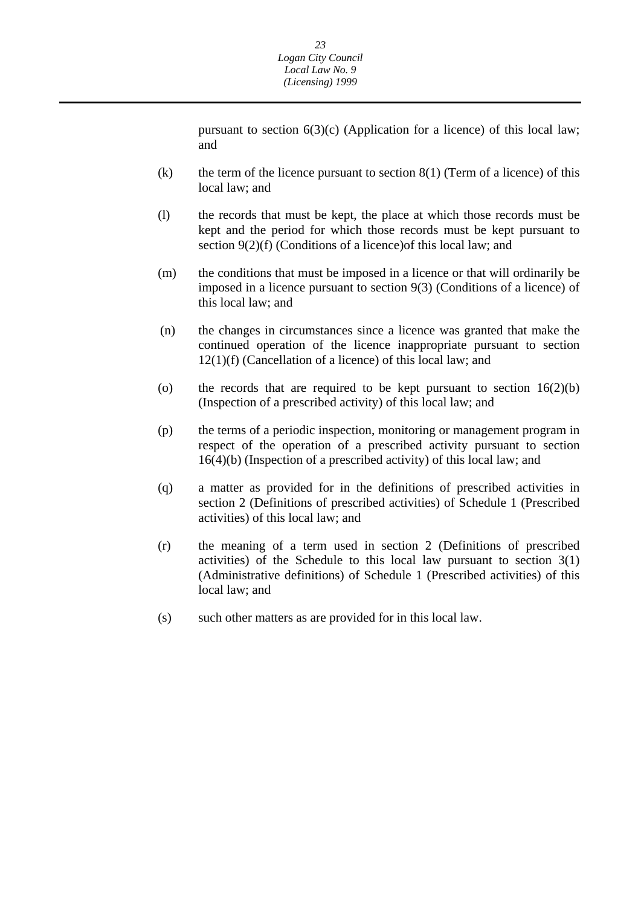pursuant to section  $6(3)(c)$  (Application for a licence) of this local law; and

- (k) the term of the licence pursuant to section  $8(1)$  (Term of a licence) of this local law; and
- (l) the records that must be kept, the place at which those records must be kept and the period for which those records must be kept pursuant to section 9(2)(f) (Conditions of a licence) of this local law; and
- (m) the conditions that must be imposed in a licence or that will ordinarily be imposed in a licence pursuant to section 9(3) (Conditions of a licence) of this local law; and
- (n) the changes in circumstances since a licence was granted that make the continued operation of the licence inappropriate pursuant to section 12(1)(f) (Cancellation of a licence) of this local law; and
- (o) the records that are required to be kept pursuant to section  $16(2)(b)$ (Inspection of a prescribed activity) of this local law; and
- (p) the terms of a periodic inspection, monitoring or management program in respect of the operation of a prescribed activity pursuant to section 16(4)(b) (Inspection of a prescribed activity) of this local law; and
- (q) a matter as provided for in the definitions of prescribed activities in section 2 (Definitions of prescribed activities) of Schedule 1 (Prescribed activities) of this local law; and
- (r) the meaning of a term used in section 2 (Definitions of prescribed activities) of the Schedule to this local law pursuant to section 3(1) (Administrative definitions) of Schedule 1 (Prescribed activities) of this local law; and
- (s) such other matters as are provided for in this local law.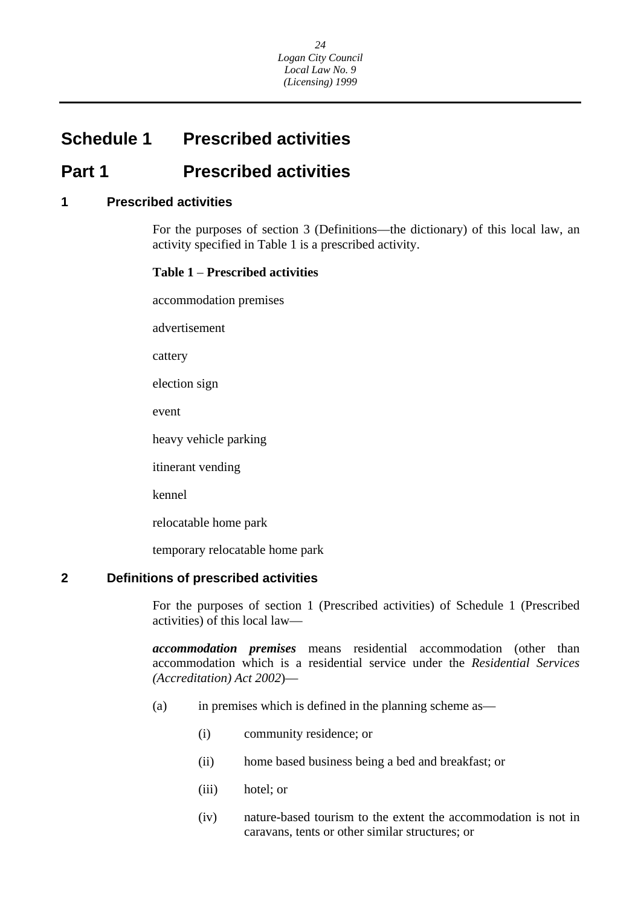## <span id="page-24-0"></span>**Schedule 1 Prescribed activities**

## **Part 1 Prescribed activities**

#### **1 Prescribed activities**

For the purposes of section 3 (Definitions—the dictionary) of this local law, an activity specified in Table 1 is a prescribed activity.

#### **Table 1** – **Prescribed activities**

accommodation premises

advertisement

cattery

election sign

event

heavy vehicle parking

itinerant vending

kennel

relocatable home park

temporary relocatable home park

#### **2 Definitions of prescribed activities**

For the purposes of section 1 (Prescribed activities) of Schedule 1 (Prescribed activities) of this local law—

*accommodation premises* means residential accommodation (other than accommodation which is a residential service under the *Residential Services (Accreditation) Act 2002*)—

- (a) in premises which is defined in the planning scheme as—
	- (i) community residence; or
	- (ii) home based business being a bed and breakfast; or
	- (iii) hotel; or
	- (iv) nature-based tourism to the extent the accommodation is not in caravans, tents or other similar structures; or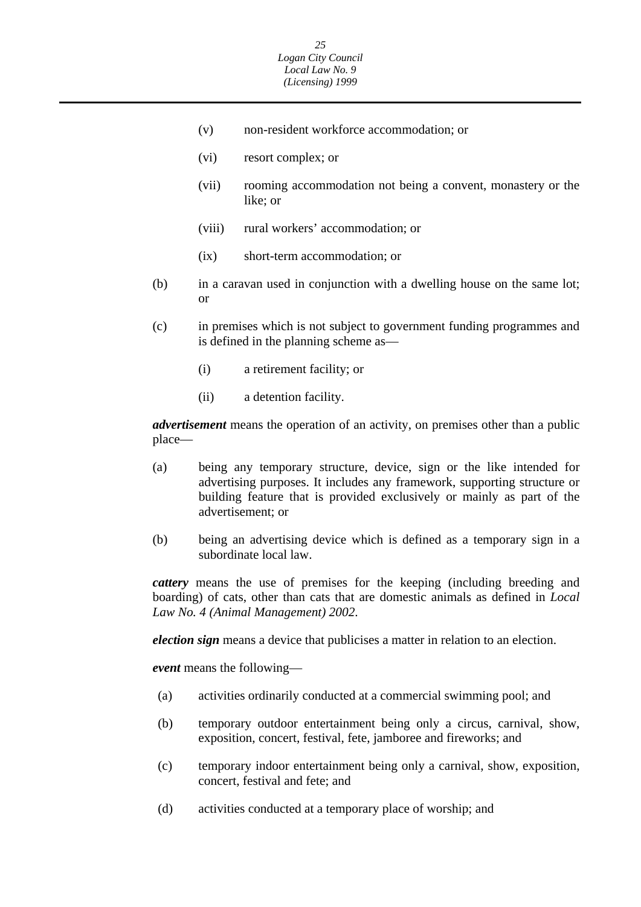- (v) non-resident workforce accommodation; or
- (vi) resort complex; or
- (vii) rooming accommodation not being a convent, monastery or the like; or
- (viii) rural workers' accommodation; or
- (ix) short-term accommodation; or
- (b) in a caravan used in conjunction with a dwelling house on the same lot; or
- (c) in premises which is not subject to government funding programmes and is defined in the planning scheme as—
	- (i) a retirement facility; or
	- (ii) a detention facility.

*advertisement* means the operation of an activity, on premises other than a public place—

- (a) being any temporary structure, device, sign or the like intended for advertising purposes. It includes any framework, supporting structure or building feature that is provided exclusively or mainly as part of the advertisement; or
- (b) being an advertising device which is defined as a temporary sign in a subordinate local law.

*cattery* means the use of premises for the keeping (including breeding and boarding) of cats, other than cats that are domestic animals as defined in *Local Law No. 4 (Animal Management) 2002*.

*election sign* means a device that publicises a matter in relation to an election.

*event* means the following—

- (a) activities ordinarily conducted at a commercial swimming pool; and
- (b) temporary outdoor entertainment being only a circus, carnival, show, exposition, concert, festival, fete, jamboree and fireworks; and
- (c) temporary indoor entertainment being only a carnival, show, exposition, concert, festival and fete; and
- (d) activities conducted at a temporary place of worship; and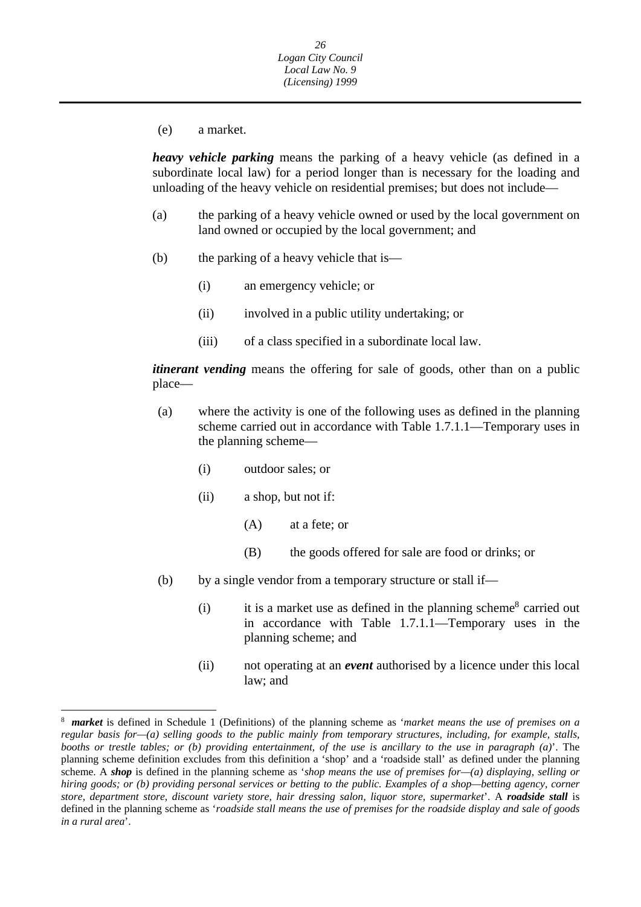(e) a market.

*heavy vehicle parking* means the parking of a heavy vehicle (as defined in a subordinate local law) for a period longer than is necessary for the loading and unloading of the heavy vehicle on residential premises; but does not include—

- (a) the parking of a heavy vehicle owned or used by the local government on land owned or occupied by the local government; and
- (b) the parking of a heavy vehicle that is—
	- (i) an emergency vehicle; or
	- (ii) involved in a public utility undertaking; or
	- (iii) of a class specified in a subordinate local law.

*itinerant vending* means the offering for sale of goods, other than on a public place—

- (a) where the activity is one of the following uses as defined in the planning scheme carried out in accordance with Table 1.7.1.1—Temporary uses in the planning scheme—
	- (i) outdoor sales; or
	- (ii) a shop, but not if:

 $\overline{a}$ 

- (A) at a fete; or
- (B) the goods offered for sale are food or drinks; or
- (b) by a single vendor from a temporary structure or stall if—
	- (i) it is a market use as defined in the planning scheme<sup>8</sup> carried out in accordance with Table 1.7.1.1—Temporary uses in the planning scheme; and
	- (ii) not operating at an *event* authorised by a licence under this local law; and

 *in a rural area*'. *market* is defined in Schedule 1 (Definitions) of the planning scheme as '*market means the use of premises on a*  8 *regular basis for—(a) selling goods to the public mainly from temporary structures, including, for example, stalls, booths or trestle tables; or (b) providing entertainment, of the use is ancillary to the use in paragraph (a)*'. The planning scheme definition excludes from this definition a 'shop' and a 'roadside stall' as defined under the planning scheme. A *shop* is defined in the planning scheme as '*shop means the use of premises for—(a) displaying, selling or hiring goods; or (b) providing personal services or betting to the public. Examples of a shop—betting agency, corner store, department store, discount variety store, hair dressing salon, liquor store, supermarket*'. A *roadside stall* is defined in the planning scheme as '*roadside stall means the use of premises for the roadside display and sale of goods*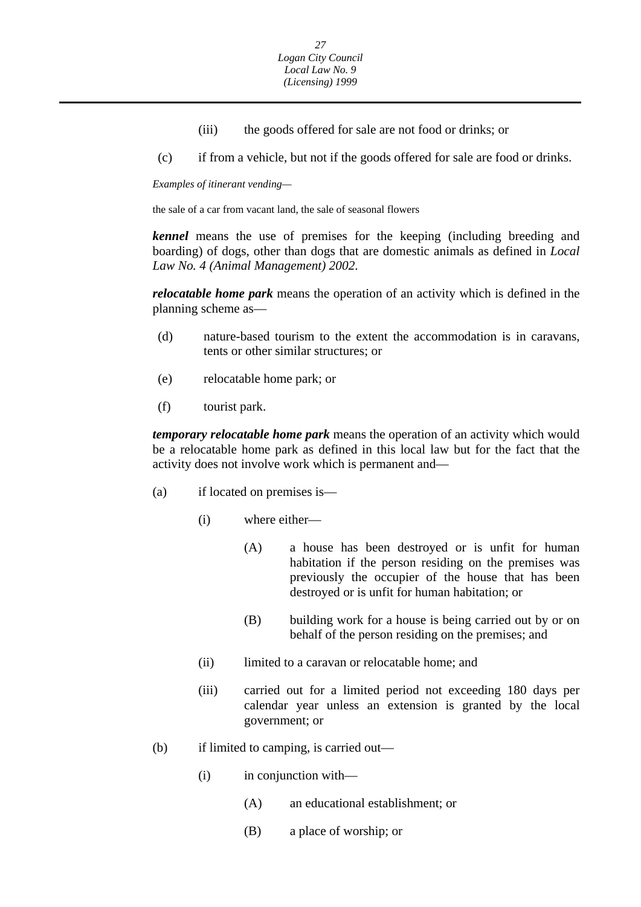- (iii) the goods offered for sale are not food or drinks; or
- (c) if from a vehicle, but not if the goods offered for sale are food or drinks.

*Examples of itinerant vending—* 

the sale of a car from vacant land, the sale of seasonal flowers

*kennel* means the use of premises for the keeping (including breeding and boarding) of dogs, other than dogs that are domestic animals as defined in *Local Law No. 4 (Animal Management) 2002*.

*relocatable home park* means the operation of an activity which is defined in the planning scheme as—

- (d) nature-based tourism to the extent the accommodation is in caravans, tents or other similar structures; or
- (e) relocatable home park; or
- (f) tourist park.

*temporary relocatable home park* means the operation of an activity which would be a relocatable home park as defined in this local law but for the fact that the activity does not involve work which is permanent and—

- (a) if located on premises is—
	- (i) where either—
		- (A) a house has been destroyed or is unfit for human habitation if the person residing on the premises was previously the occupier of the house that has been destroyed or is unfit for human habitation; or
		- (B) building work for a house is being carried out by or on behalf of the person residing on the premises; and
	- (ii) limited to a caravan or relocatable home; and
	- (iii) carried out for a limited period not exceeding 180 days per calendar year unless an extension is granted by the local government; or
- (b) if limited to camping, is carried out—
	- (i) in conjunction with—
		- (A) an educational establishment; or
		- (B) a place of worship; or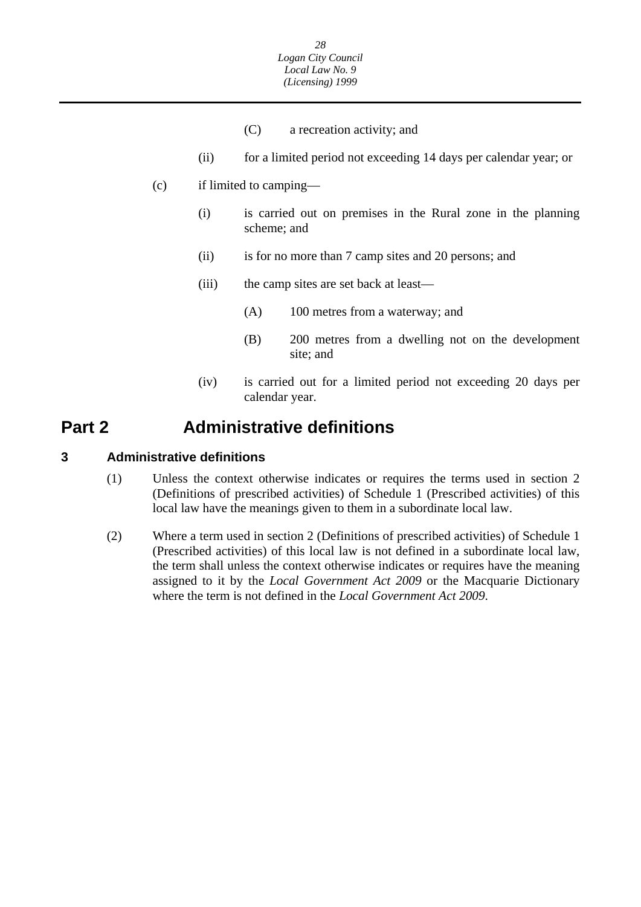- (C) a recreation activity; and
- (ii) for a limited period not exceeding 14 days per calendar year; or
- <span id="page-28-0"></span>(c) if limited to camping—
	- (i) is carried out on premises in the Rural zone in the planning scheme; and
	- (ii) is for no more than 7 camp sites and 20 persons; and
	- (iii) the camp sites are set back at least—
		- (A) 100 metres from a waterway; and
		- (B) 200 metres from a dwelling not on the development site; and
	- (iv) is carried out for a limited period not exceeding 20 days per calendar year.

## **Part 2 Administrative definitions**

#### **3 Administrative definitions**

- (1) Unless the context otherwise indicates or requires the terms used in section 2 (Definitions of prescribed activities) of Schedule 1 (Prescribed activities) of this local law have the meanings given to them in a subordinate local law.
- (2) Where a term used in section 2 (Definitions of prescribed activities) of Schedule 1 (Prescribed activities) of this local law is not defined in a subordinate local law, the term shall unless the context otherwise indicates or requires have the meaning assigned to it by the *Local Government Act 2009* or the Macquarie Dictionary where the term is not defined in the *Local Government Act 2009*.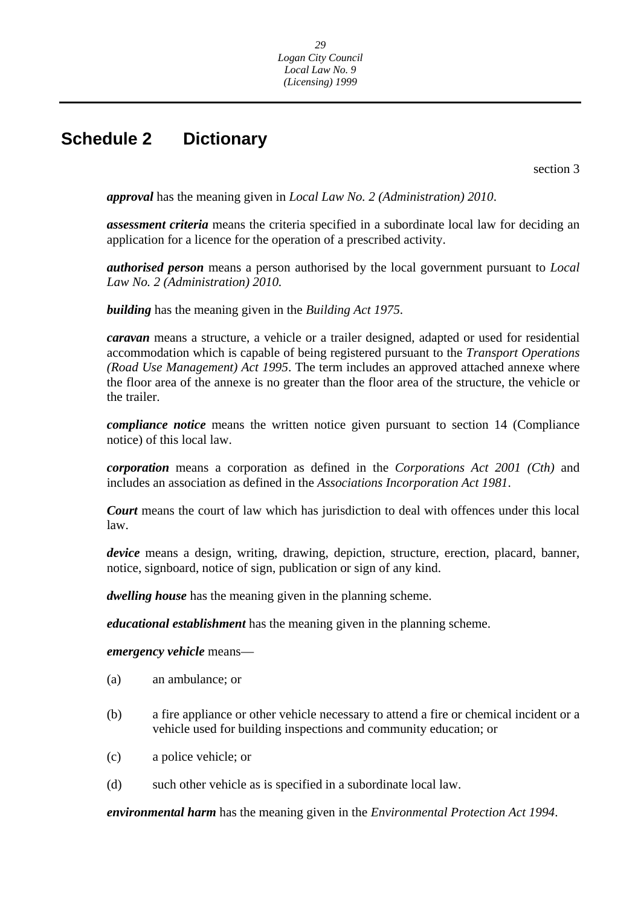## <span id="page-29-0"></span>**Schedule 2 Dictionary**

section 3

*approval* has the meaning given in *Local Law No. 2 (Administration) 2010*.

*assessment criteria* means the criteria specified in a subordinate local law for deciding an application for a licence for the operation of a prescribed activity.

*authorised person* means a person authorised by the local government pursuant to *Local Law No. 2 (Administration) 2010.* 

*building* has the meaning given in the *Building Act 1975*.

*caravan* means a structure, a vehicle or a trailer designed, adapted or used for residential accommodation which is capable of being registered pursuant to the *Transport Operations (Road Use Management) Act 1995*. The term includes an approved attached annexe where the floor area of the annexe is no greater than the floor area of the structure, the vehicle or the trailer.

*compliance notice* means the written notice given pursuant to section 14 (Compliance notice) of this local law.

*corporation* means a corporation as defined in the *Corporations Act 2001 (Cth)* and includes an association as defined in the *Associations Incorporation Act 1981*.

*Court* means the court of law which has jurisdiction to deal with offences under this local law.

*device* means a design, writing, drawing, depiction, structure, erection, placard, banner, notice, signboard, notice of sign, publication or sign of any kind.

*dwelling house* has the meaning given in the planning scheme.

*educational establishment* has the meaning given in the planning scheme.

*emergency vehicle* means—

- (a) an ambulance; or
- (b) a fire appliance or other vehicle necessary to attend a fire or chemical incident or a vehicle used for building inspections and community education; or
- (c) a police vehicle; or
- (d) such other vehicle as is specified in a subordinate local law.

*environmental harm* has the meaning given in the *Environmental Protection Act 1994*.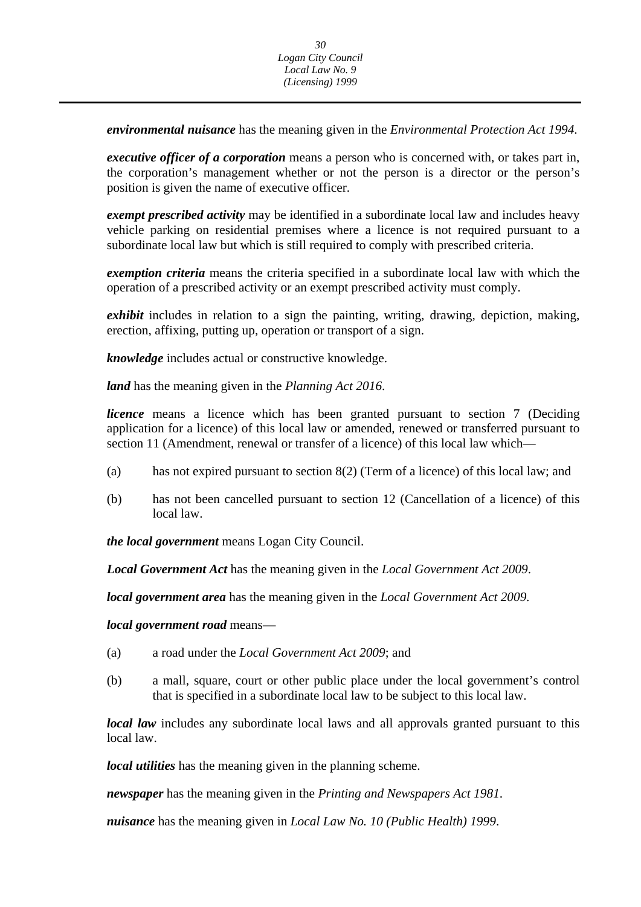*environmental nuisance* has the meaning given in the *Environmental Protection Act 1994*.

*executive officer of a corporation* means a person who is concerned with, or takes part in, the corporation's management whether or not the person is a director or the person's position is given the name of executive officer.

*exempt prescribed activity* may be identified in a subordinate local law and includes heavy vehicle parking on residential premises where a licence is not required pursuant to a subordinate local law but which is still required to comply with prescribed criteria.

*exemption criteria* means the criteria specified in a subordinate local law with which the operation of a prescribed activity or an exempt prescribed activity must comply.

*exhibit* includes in relation to a sign the painting, writing, drawing, depiction, making, erection, affixing, putting up, operation or transport of a sign.

*knowledge* includes actual or constructive knowledge.

*land* has the meaning given in the *Planning Act 2016*.

*licence* means a licence which has been granted pursuant to section 7 (Deciding application for a licence) of this local law or amended, renewed or transferred pursuant to section 11 (Amendment, renewal or transfer of a licence) of this local law which—

- (a) has not expired pursuant to section 8(2) (Term of a licence) of this local law; and
- (b) has not been cancelled pursuant to section 12 (Cancellation of a licence) of this local law.

*the local government* means Logan City Council.

*Local Government Act* has the meaning given in the *Local Government Act 2009*.

*local government area* has the meaning given in the *Local Government Act 2009.* 

*local government road* means—

- (a) a road under the *Local Government Act 2009*; and
- (b) a mall, square, court or other public place under the local government's control that is specified in a subordinate local law to be subject to this local law.

*local law* includes any subordinate local laws and all approvals granted pursuant to this local law.

*local utilities* has the meaning given in the planning scheme.

*newspaper* has the meaning given in the *Printing and Newspapers Act 1981*.

*nuisance* has the meaning given in *Local Law No. 10 (Public Health) 1999*.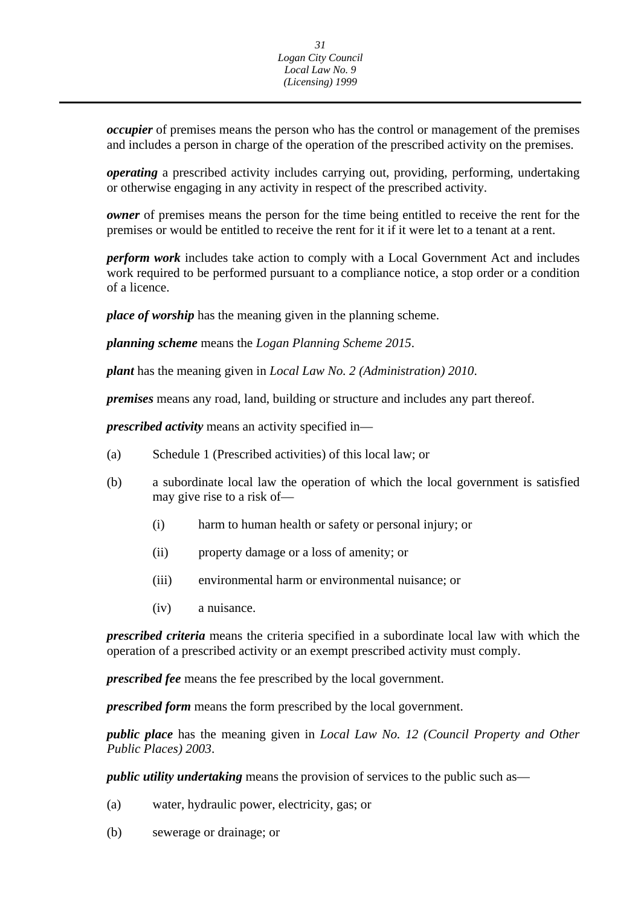*occupier* of premises means the person who has the control or management of the premises and includes a person in charge of the operation of the prescribed activity on the premises.

*operating* a prescribed activity includes carrying out, providing, performing, undertaking or otherwise engaging in any activity in respect of the prescribed activity.

*owner* of premises means the person for the time being entitled to receive the rent for the premises or would be entitled to receive the rent for it if it were let to a tenant at a rent.

*perform work* includes take action to comply with a Local Government Act and includes work required to be performed pursuant to a compliance notice, a stop order or a condition of a licence.

*place of worship* has the meaning given in the planning scheme.

*planning scheme* means the *Logan Planning Scheme 2015*.

*plant* has the meaning given in *Local Law No. 2 (Administration) 2010*.

*premises* means any road, land, building or structure and includes any part thereof.

*prescribed activity* means an activity specified in—

- (a) Schedule 1 (Prescribed activities) of this local law; or
- (b) a subordinate local law the operation of which the local government is satisfied may give rise to a risk of—
	- (i) harm to human health or safety or personal injury; or
	- (ii) property damage or a loss of amenity; or
	- (iii) environmental harm or environmental nuisance; or
	- (iv) a nuisance.

*prescribed criteria* means the criteria specified in a subordinate local law with which the operation of a prescribed activity or an exempt prescribed activity must comply.

*prescribed fee* means the fee prescribed by the local government.

*prescribed form* means the form prescribed by the local government.

*public place* has the meaning given in *Local Law No. 12 (Council Property and Other Public Places) 2003*.

*public utility undertaking* means the provision of services to the public such as—

- (a) water, hydraulic power, electricity, gas; or
- (b) sewerage or drainage; or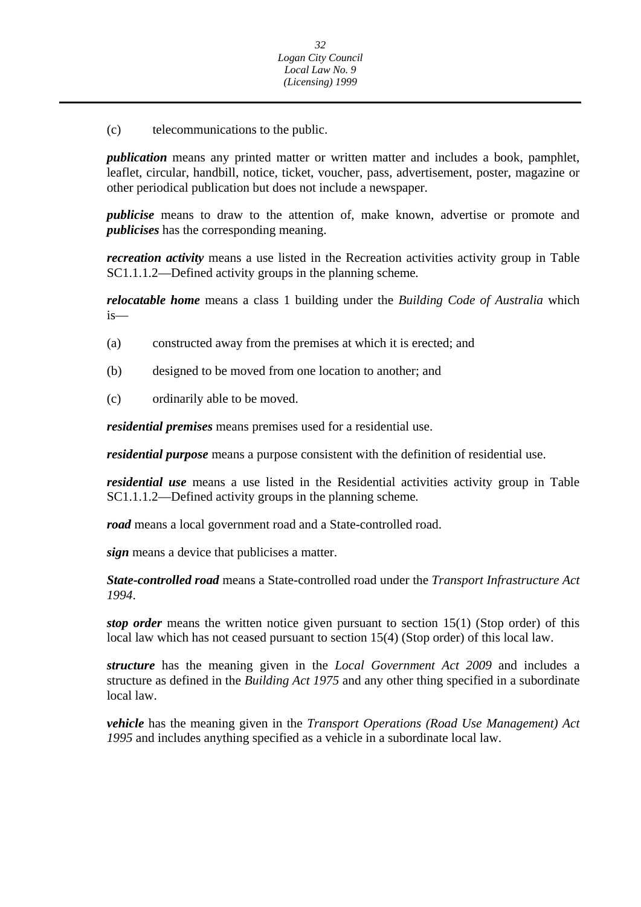(c) telecommunications to the public.

*publication* means any printed matter or written matter and includes a book, pamphlet, leaflet, circular, handbill, notice, ticket, voucher, pass, advertisement, poster, magazine or other periodical publication but does not include a newspaper.

*publicise* means to draw to the attention of, make known, advertise or promote and *publicises* has the corresponding meaning.

*recreation activity* means a use listed in the Recreation activities activity group in Table SC1.1.1.2—Defined activity groups in the planning scheme*.* 

*relocatable home* means a class 1 building under the *Building Code of Australia* which is—

- (a) constructed away from the premises at which it is erected; and
- (b) designed to be moved from one location to another; and
- (c) ordinarily able to be moved.

*residential premises* means premises used for a residential use.

*residential purpose* means a purpose consistent with the definition of residential use.

*residential use* means a use listed in the Residential activities activity group in Table SC1.1.1.2—Defined activity groups in the planning scheme*.* 

*road* means a local government road and a State-controlled road.

*sign* means a device that publicises a matter.

*State-controlled road* means a State-controlled road under the *Transport Infrastructure Act 1994*.

*stop order* means the written notice given pursuant to section 15(1) (Stop order) of this local law which has not ceased pursuant to section 15(4) (Stop order) of this local law.

*structure* has the meaning given in the *Local Government Act 2009* and includes a structure as defined in the *Building Act 1975* and any other thing specified in a subordinate local law.

*vehicle* has the meaning given in the *Transport Operations (Road Use Management) Act 1995* and includes anything specified as a vehicle in a subordinate local law.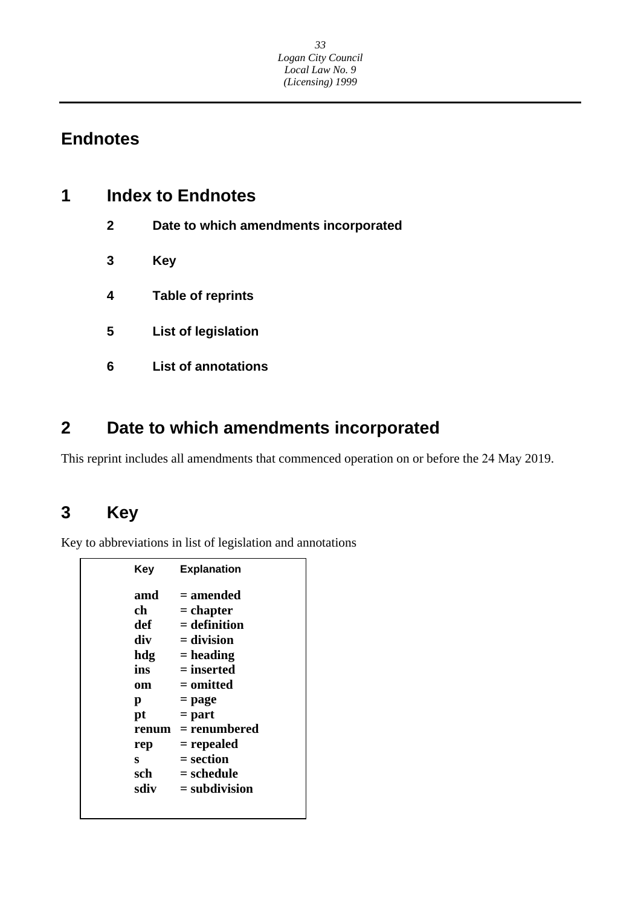## **Endnotes**

| 1 | <b>Index to Endnotes</b> |                                       |  |
|---|--------------------------|---------------------------------------|--|
|   | $\mathbf{2}$             | Date to which amendments incorporated |  |
|   | 3                        | <b>Key</b>                            |  |
|   | 4                        | <b>Table of reprints</b>              |  |
|   | 5                        | <b>List of legislation</b>            |  |
|   | 6                        | <b>List of annotations</b>            |  |
|   |                          |                                       |  |

## **2 Date to which amendments incorporated**

This reprint includes all amendments that commenced operation on or before the 24 May 2019.

## **3 Key**

Key to abbreviations in list of legislation and annotations

| Key   | <b>Explanation</b> |
|-------|--------------------|
| amd   | = amended          |
| ch    | $=$ chapter        |
| def   | $=$ definition     |
| div   | $=$ division       |
| hdg   | $=$ heading        |
| ins   | = inserted         |
| om    | = omitted          |
| р     | = page             |
| pt    | $=$ part           |
| renum | = renumbered       |
| rep   | = repealed         |
| s     | = section          |
| sch   | = schedule         |
| sdiv  | $=$ subdivision    |
|       |                    |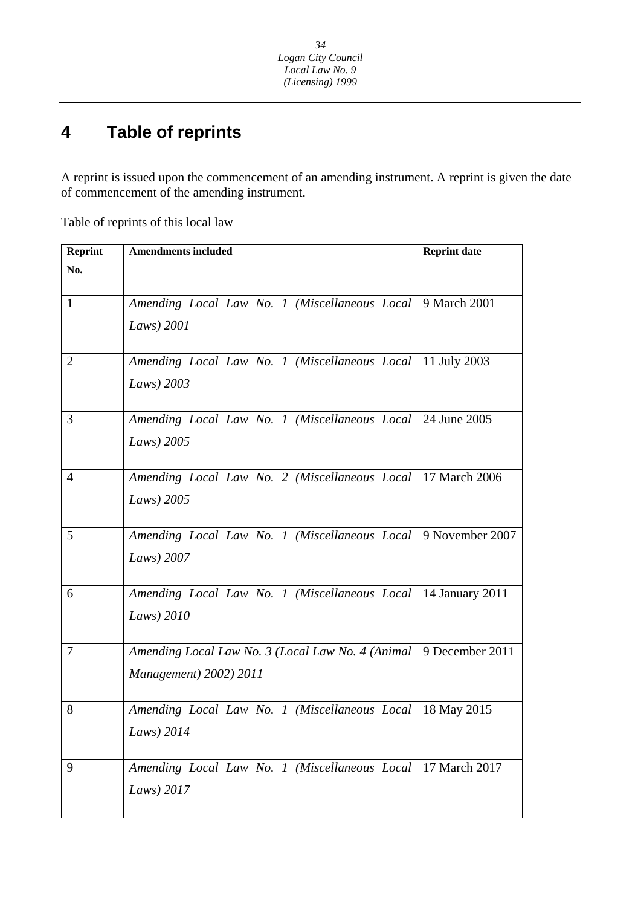#### **4 Table of reprints**

A reprint is issued upon the commencement of an amending instrument. A reprint is given the date of commencement of the amending instrument.

Table of reprints of this local law

| <b>Amendments included</b>                                   | <b>Reprint date</b>                                                                                                                                                                                                                                                                                                                                                                                                                                                                                                                                                                                         |  |
|--------------------------------------------------------------|-------------------------------------------------------------------------------------------------------------------------------------------------------------------------------------------------------------------------------------------------------------------------------------------------------------------------------------------------------------------------------------------------------------------------------------------------------------------------------------------------------------------------------------------------------------------------------------------------------------|--|
|                                                              |                                                                                                                                                                                                                                                                                                                                                                                                                                                                                                                                                                                                             |  |
|                                                              |                                                                                                                                                                                                                                                                                                                                                                                                                                                                                                                                                                                                             |  |
|                                                              |                                                                                                                                                                                                                                                                                                                                                                                                                                                                                                                                                                                                             |  |
| Laws) $2001$                                                 |                                                                                                                                                                                                                                                                                                                                                                                                                                                                                                                                                                                                             |  |
|                                                              |                                                                                                                                                                                                                                                                                                                                                                                                                                                                                                                                                                                                             |  |
| Amending Local Law No. 1 (Miscellaneous Local   11 July 2003 |                                                                                                                                                                                                                                                                                                                                                                                                                                                                                                                                                                                                             |  |
| Laws) 2003                                                   |                                                                                                                                                                                                                                                                                                                                                                                                                                                                                                                                                                                                             |  |
|                                                              |                                                                                                                                                                                                                                                                                                                                                                                                                                                                                                                                                                                                             |  |
|                                                              |                                                                                                                                                                                                                                                                                                                                                                                                                                                                                                                                                                                                             |  |
| Laws) 2005                                                   |                                                                                                                                                                                                                                                                                                                                                                                                                                                                                                                                                                                                             |  |
|                                                              |                                                                                                                                                                                                                                                                                                                                                                                                                                                                                                                                                                                                             |  |
|                                                              |                                                                                                                                                                                                                                                                                                                                                                                                                                                                                                                                                                                                             |  |
| Laws) 2005                                                   |                                                                                                                                                                                                                                                                                                                                                                                                                                                                                                                                                                                                             |  |
|                                                              |                                                                                                                                                                                                                                                                                                                                                                                                                                                                                                                                                                                                             |  |
|                                                              |                                                                                                                                                                                                                                                                                                                                                                                                                                                                                                                                                                                                             |  |
| Laws) 2007                                                   |                                                                                                                                                                                                                                                                                                                                                                                                                                                                                                                                                                                                             |  |
|                                                              |                                                                                                                                                                                                                                                                                                                                                                                                                                                                                                                                                                                                             |  |
|                                                              |                                                                                                                                                                                                                                                                                                                                                                                                                                                                                                                                                                                                             |  |
|                                                              |                                                                                                                                                                                                                                                                                                                                                                                                                                                                                                                                                                                                             |  |
|                                                              |                                                                                                                                                                                                                                                                                                                                                                                                                                                                                                                                                                                                             |  |
|                                                              |                                                                                                                                                                                                                                                                                                                                                                                                                                                                                                                                                                                                             |  |
|                                                              |                                                                                                                                                                                                                                                                                                                                                                                                                                                                                                                                                                                                             |  |
|                                                              |                                                                                                                                                                                                                                                                                                                                                                                                                                                                                                                                                                                                             |  |
|                                                              |                                                                                                                                                                                                                                                                                                                                                                                                                                                                                                                                                                                                             |  |
|                                                              |                                                                                                                                                                                                                                                                                                                                                                                                                                                                                                                                                                                                             |  |
|                                                              |                                                                                                                                                                                                                                                                                                                                                                                                                                                                                                                                                                                                             |  |
|                                                              |                                                                                                                                                                                                                                                                                                                                                                                                                                                                                                                                                                                                             |  |
|                                                              |                                                                                                                                                                                                                                                                                                                                                                                                                                                                                                                                                                                                             |  |
|                                                              | Amending Local Law No. 1 (Miscellaneous Local 9 March 2001<br>Amending Local Law No. 1 (Miscellaneous Local 24 June 2005)<br>Amending Local Law No. 2 (Miscellaneous Local   17 March 2006<br>Amending Local Law No. 1 (Miscellaneous Local 9 November 2007<br>Amending Local Law No. 1 (Miscellaneous Local   14 January 2011<br>Laws) 2010<br>Amending Local Law No. 3 (Local Law No. 4 (Animal   9 December 2011<br>Management) 2002) 2011<br>Amending Local Law No. 1 (Miscellaneous Local   18 May 2015<br>Laws) 2014<br>Amending Local Law No. 1 (Miscellaneous Local   17 March 2017<br>Laws) $2017$ |  |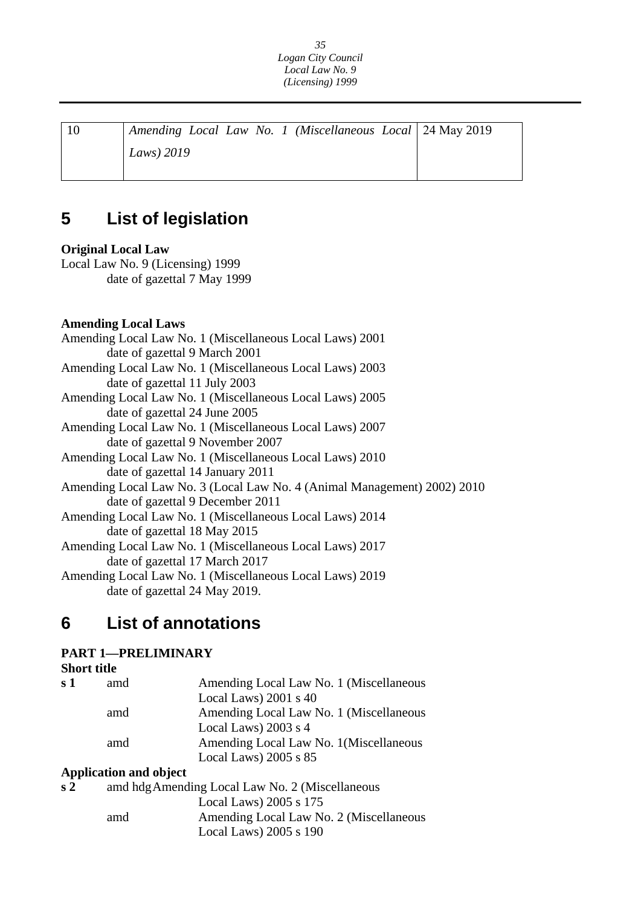| Amending Local Law No. 1 (Miscellaneous Local   24 May 2019) |  |
|--------------------------------------------------------------|--|
| Laws) $2019$                                                 |  |
|                                                              |  |

## **5 List of legislation**

### **Original Local Law**

Local Law No. 9 (Licensing) 1999 date of gazettal 7 May 1999

### **Amending Local Laws**

| Amending Local Law No. 1 (Miscellaneous Local Laws) 2001                 |
|--------------------------------------------------------------------------|
| date of gazettal 9 March 2001                                            |
| Amending Local Law No. 1 (Miscellaneous Local Laws) 2003                 |
| date of gazettal 11 July 2003                                            |
| Amending Local Law No. 1 (Miscellaneous Local Laws) 2005                 |
| date of gazettal 24 June 2005                                            |
| Amending Local Law No. 1 (Miscellaneous Local Laws) 2007                 |
| date of gazettal 9 November 2007                                         |
| Amending Local Law No. 1 (Miscellaneous Local Laws) 2010                 |
| date of gazettal 14 January 2011                                         |
| Amending Local Law No. 3 (Local Law No. 4 (Animal Management) 2002) 2010 |
| date of gazettal 9 December 2011                                         |
| Amending Local Law No. 1 (Miscellaneous Local Laws) 2014                 |
| date of gazettal 18 May 2015                                             |
| Amending Local Law No. 1 (Miscellaneous Local Laws) 2017                 |
| date of gazettal 17 March 2017                                           |
| Amending Local Law No. 1 (Miscellaneous Local Laws) 2019                 |
| date of gazettal 24 May 2019.                                            |

## **6 List of annotations**

### **PART 1—PRELIMINARY**

### **Short title**

| s 1 | amd | Amending Local Law No. 1 (Miscellaneous |
|-----|-----|-----------------------------------------|
|     |     | Local Laws) $2001$ s 40                 |
|     | amd | Amending Local Law No. 1 (Miscellaneous |
|     |     | Local Laws) $2003$ s 4                  |
|     | amd | Amending Local Law No. 1 (Miscellaneous |
|     |     | Local Laws) $2005$ s $85$               |
|     |     |                                         |

### **Application and object**

| s 2 | amd hdg Amending Local Law No. 2 (Miscellaneous |                                         |
|-----|-------------------------------------------------|-----------------------------------------|
|     |                                                 | Local Laws) $2005$ s $175$              |
|     | amd                                             | Amending Local Law No. 2 (Miscellaneous |
|     |                                                 | Local Laws) $2005$ s $190$              |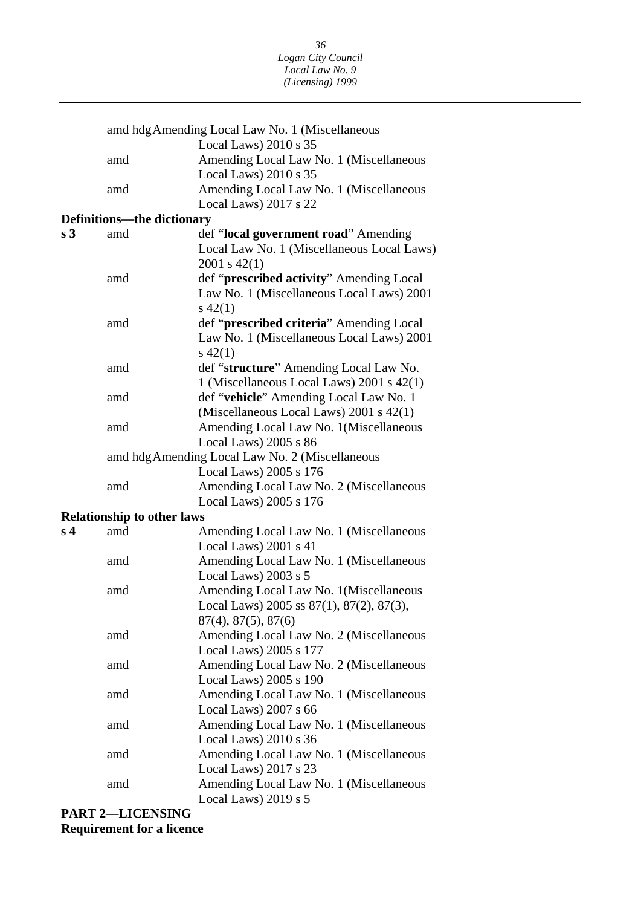|                |                                   | amd hdg Amending Local Law No. 1 (Miscellaneous                                       |
|----------------|-----------------------------------|---------------------------------------------------------------------------------------|
|                |                                   | Local Laws) $2010 s 35$                                                               |
|                | amd                               | Amending Local Law No. 1 (Miscellaneous                                               |
|                |                                   | Local Laws) 2010 s 35                                                                 |
|                | amd                               | Amending Local Law No. 1 (Miscellaneous                                               |
|                |                                   | Local Laws) 2017 s 22                                                                 |
|                | <b>Definitions-the dictionary</b> |                                                                                       |
| s <sub>3</sub> | amd                               | def "local government road" Amending                                                  |
|                |                                   | Local Law No. 1 (Miscellaneous Local Laws)<br>$2001$ s $42(1)$                        |
|                | amd                               | def " <b>prescribed activity</b> " Amending Local                                     |
|                |                                   | Law No. 1 (Miscellaneous Local Laws) 2001                                             |
|                | amd                               | $s\ 42(1)$                                                                            |
|                |                                   | def "prescribed criteria" Amending Local<br>Law No. 1 (Miscellaneous Local Laws) 2001 |
|                |                                   | $s\,42(1)$                                                                            |
|                | amd                               | def "structure" Amending Local Law No.                                                |
|                |                                   | 1 (Miscellaneous Local Laws) 2001 s 42(1)                                             |
|                | amd                               | def "vehicle" Amending Local Law No. 1                                                |
|                |                                   | (Miscellaneous Local Laws) 2001 s 42(1)                                               |
|                | amd                               | Amending Local Law No. 1 (Miscellaneous                                               |
|                |                                   | Local Laws) 2005 s 86                                                                 |
|                |                                   | amd hdg Amending Local Law No. 2 (Miscellaneous                                       |
|                |                                   | Local Laws) 2005 s 176                                                                |
|                | amd                               | Amending Local Law No. 2 (Miscellaneous                                               |
|                |                                   | Local Laws) 2005 s 176                                                                |
|                | <b>Relationship to other laws</b> |                                                                                       |
| s <sub>4</sub> | amd                               | Amending Local Law No. 1 (Miscellaneous                                               |
|                |                                   | Local Laws) 2001 s 41                                                                 |
|                | amd                               | Amending Local Law No. 1 (Miscellaneous                                               |
|                |                                   | Local Laws) 2003 s 5                                                                  |
|                | amd                               | Amending Local Law No. 1 (Miscellaneous                                               |
|                |                                   | Local Laws) 2005 ss 87(1), 87(2), 87(3),                                              |
|                | amd                               | $87(4)$ , $87(5)$ , $87(6)$<br>Amending Local Law No. 2 (Miscellaneous                |
|                |                                   | Local Laws) 2005 s 177                                                                |
|                | amd                               | Amending Local Law No. 2 (Miscellaneous                                               |
|                |                                   | Local Laws) 2005 s 190                                                                |
|                | amd                               | Amending Local Law No. 1 (Miscellaneous                                               |
|                |                                   | Local Laws) 2007 s 66                                                                 |
|                | amd                               | Amending Local Law No. 1 (Miscellaneous                                               |
|                |                                   | Local Laws) 2010 s 36                                                                 |
|                | amd                               | Amending Local Law No. 1 (Miscellaneous                                               |
|                |                                   | Local Laws) 2017 s 23                                                                 |
|                | amd                               | Amending Local Law No. 1 (Miscellaneous                                               |
|                |                                   | Local Laws) 2019 s 5                                                                  |

**PART 2—LICENSING Requirement for a licence**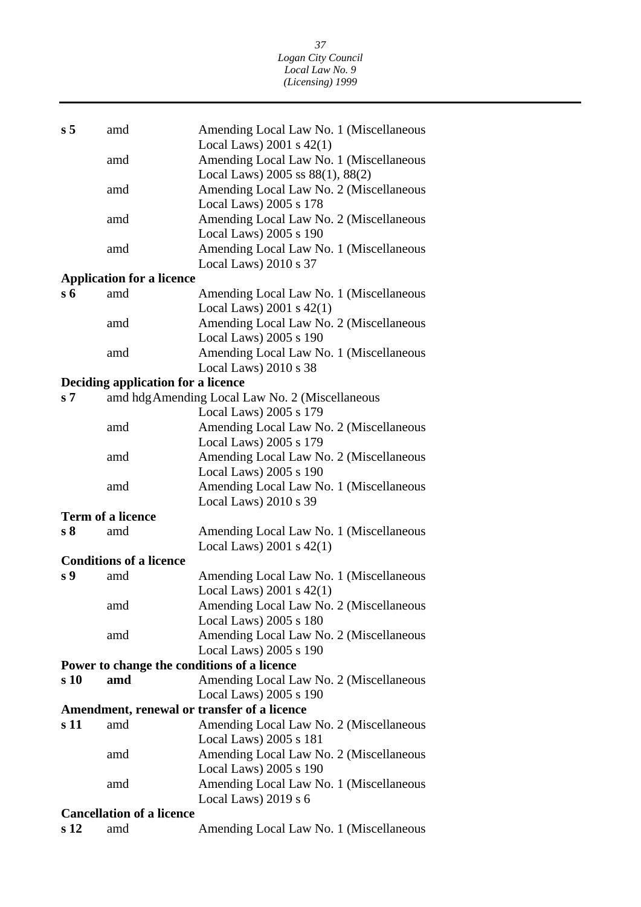| s <sub>5</sub>                   | amd                                | Amending Local Law No. 1 (Miscellaneous         |  |  |
|----------------------------------|------------------------------------|-------------------------------------------------|--|--|
|                                  |                                    | Local Laws) $2001$ s $42(1)$                    |  |  |
|                                  | amd                                | Amending Local Law No. 1 (Miscellaneous         |  |  |
|                                  |                                    | Local Laws) 2005 ss 88(1), 88(2)                |  |  |
|                                  | amd                                | Amending Local Law No. 2 (Miscellaneous         |  |  |
|                                  |                                    | Local Laws) 2005 s 178                          |  |  |
|                                  | amd                                | Amending Local Law No. 2 (Miscellaneous         |  |  |
|                                  |                                    | Local Laws) 2005 s 190                          |  |  |
|                                  | amd                                | Amending Local Law No. 1 (Miscellaneous         |  |  |
|                                  |                                    | Local Laws) $2010 s 37$                         |  |  |
|                                  | <b>Application for a licence</b>   |                                                 |  |  |
| $s\,6$                           | amd                                | Amending Local Law No. 1 (Miscellaneous         |  |  |
|                                  |                                    | Local Laws) $2001$ s $42(1)$                    |  |  |
|                                  | amd                                | Amending Local Law No. 2 (Miscellaneous         |  |  |
|                                  |                                    | Local Laws) 2005 s 190                          |  |  |
|                                  | amd                                | Amending Local Law No. 1 (Miscellaneous         |  |  |
|                                  |                                    | Local Laws) 2010 s 38                           |  |  |
|                                  | Deciding application for a licence |                                                 |  |  |
| s <sub>7</sub>                   |                                    | amd hdg Amending Local Law No. 2 (Miscellaneous |  |  |
|                                  |                                    | Local Laws) 2005 s 179                          |  |  |
|                                  | amd                                | Amending Local Law No. 2 (Miscellaneous         |  |  |
|                                  |                                    | Local Laws) 2005 s 179                          |  |  |
|                                  | amd                                | Amending Local Law No. 2 (Miscellaneous         |  |  |
|                                  |                                    | Local Laws) 2005 s 190                          |  |  |
|                                  | amd                                | Amending Local Law No. 1 (Miscellaneous         |  |  |
|                                  |                                    | Local Laws) 2010 s 39                           |  |  |
|                                  | <b>Term of a licence</b>           |                                                 |  |  |
| s <sub>8</sub>                   | amd                                | Amending Local Law No. 1 (Miscellaneous         |  |  |
|                                  |                                    | Local Laws) $2001$ s $42(1)$                    |  |  |
|                                  | <b>Conditions of a licence</b>     |                                                 |  |  |
| s <sub>9</sub>                   | amd                                | Amending Local Law No. 1 (Miscellaneous         |  |  |
|                                  |                                    | Local Laws) $2001$ s $42(1)$                    |  |  |
|                                  | amd                                | Amending Local Law No. 2 (Miscellaneous         |  |  |
|                                  |                                    | Local Laws) 2005 s 180                          |  |  |
|                                  | amd                                | Amending Local Law No. 2 (Miscellaneous         |  |  |
|                                  |                                    | Local Laws) 2005 s 190                          |  |  |
|                                  |                                    | Power to change the conditions of a licence     |  |  |
| s 10                             | amd                                | Amending Local Law No. 2 (Miscellaneous         |  |  |
|                                  |                                    | Local Laws) 2005 s 190                          |  |  |
|                                  |                                    | Amendment, renewal or transfer of a licence     |  |  |
| s 11                             | amd                                | Amending Local Law No. 2 (Miscellaneous         |  |  |
|                                  |                                    | Local Laws) 2005 s 181                          |  |  |
|                                  | amd                                | Amending Local Law No. 2 (Miscellaneous         |  |  |
|                                  |                                    | Local Laws) 2005 s 190                          |  |  |
|                                  | amd                                | Amending Local Law No. 1 (Miscellaneous         |  |  |
|                                  |                                    | Local Laws) $2019 s 6$                          |  |  |
| <b>Cancellation of a licence</b> |                                    |                                                 |  |  |
| s <sub>12</sub>                  | amd                                | Amending Local Law No. 1 (Miscellaneous         |  |  |
|                                  |                                    |                                                 |  |  |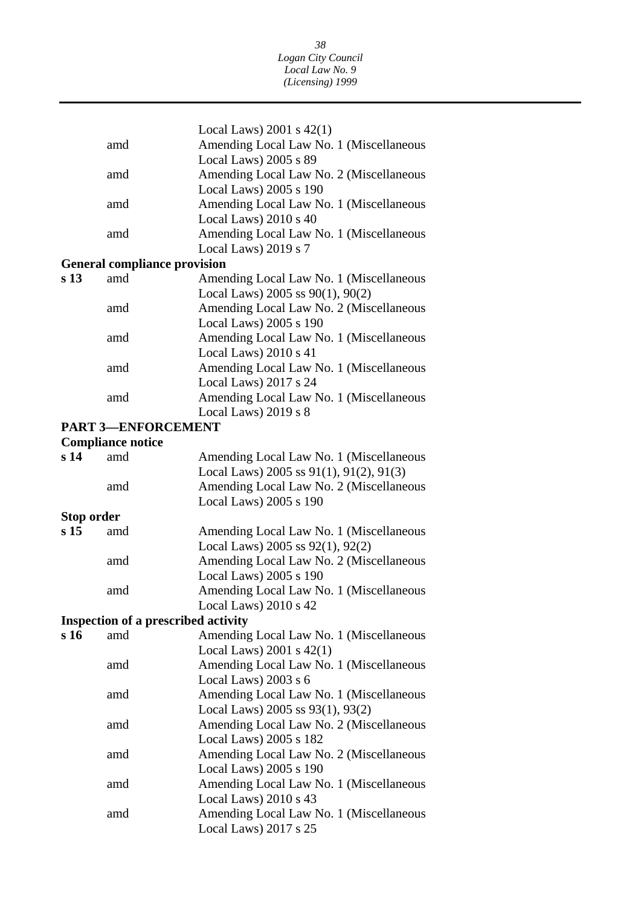|                 |                                            | Local Laws) $2001$ s $42(1)$                                      |
|-----------------|--------------------------------------------|-------------------------------------------------------------------|
|                 | amd                                        | Amending Local Law No. 1 (Miscellaneous                           |
|                 |                                            | Local Laws) 2005 s 89                                             |
|                 | amd                                        | Amending Local Law No. 2 (Miscellaneous                           |
|                 |                                            | Local Laws) 2005 s 190                                            |
|                 | amd                                        | Amending Local Law No. 1 (Miscellaneous                           |
|                 |                                            | Local Laws) 2010 s 40                                             |
|                 | amd                                        | Amending Local Law No. 1 (Miscellaneous                           |
|                 |                                            | Local Laws) 2019 s 7                                              |
|                 | <b>General compliance provision</b>        |                                                                   |
| s <sub>13</sub> | amd                                        | Amending Local Law No. 1 (Miscellaneous                           |
|                 |                                            | Local Laws) 2005 ss $90(1)$ , $90(2)$                             |
|                 | amd                                        | Amending Local Law No. 2 (Miscellaneous                           |
|                 |                                            | Local Laws) 2005 s 190                                            |
|                 | amd                                        | Amending Local Law No. 1 (Miscellaneous                           |
|                 |                                            | Local Laws) 2010 s 41                                             |
|                 | amd                                        | Amending Local Law No. 1 (Miscellaneous                           |
|                 |                                            | Local Laws) 2017 s 24                                             |
|                 | amd                                        | Amending Local Law No. 1 (Miscellaneous                           |
|                 |                                            | Local Laws) 2019 s 8                                              |
|                 | <b>PART 3-ENFORCEMENT</b>                  |                                                                   |
|                 | <b>Compliance notice</b>                   |                                                                   |
| s <sub>14</sub> | amd                                        | Amending Local Law No. 1 (Miscellaneous                           |
|                 |                                            | Local Laws) 2005 ss $91(1)$ , $91(2)$ , $91(3)$                   |
|                 | amd                                        | Amending Local Law No. 2 (Miscellaneous<br>Local Laws) 2005 s 190 |
| Stop order      |                                            |                                                                   |
| s <sub>15</sub> | amd                                        | Amending Local Law No. 1 (Miscellaneous                           |
|                 |                                            | Local Laws) 2005 ss 92(1), 92(2)                                  |
|                 | amd                                        | Amending Local Law No. 2 (Miscellaneous                           |
|                 |                                            | Local Laws) 2005 s 190                                            |
|                 | amd                                        | Amending Local Law No. 1 (Miscellaneous                           |
|                 |                                            | Local Laws) $2010 s 42$                                           |
|                 | <b>Inspection of a prescribed activity</b> |                                                                   |
| s 16            | amd                                        | Amending Local Law No. 1 (Miscellaneous                           |
|                 |                                            | Local Laws) 2001 s 42(1)                                          |
|                 | amd                                        | Amending Local Law No. 1 (Miscellaneous                           |
|                 |                                            | Local Laws) 2003 s 6                                              |
|                 | amd                                        | Amending Local Law No. 1 (Miscellaneous                           |
|                 |                                            | Local Laws) 2005 ss 93(1), 93(2)                                  |
|                 | amd                                        | Amending Local Law No. 2 (Miscellaneous                           |
|                 |                                            | Local Laws) 2005 s 182                                            |
|                 | amd                                        | Amending Local Law No. 2 (Miscellaneous                           |
|                 |                                            | Local Laws) 2005 s 190                                            |
|                 | amd                                        | Amending Local Law No. 1 (Miscellaneous                           |
|                 |                                            | Local Laws) 2010 s 43                                             |
|                 | amd                                        | Amending Local Law No. 1 (Miscellaneous                           |
|                 |                                            | Local Laws) 2017 s 25                                             |
|                 |                                            |                                                                   |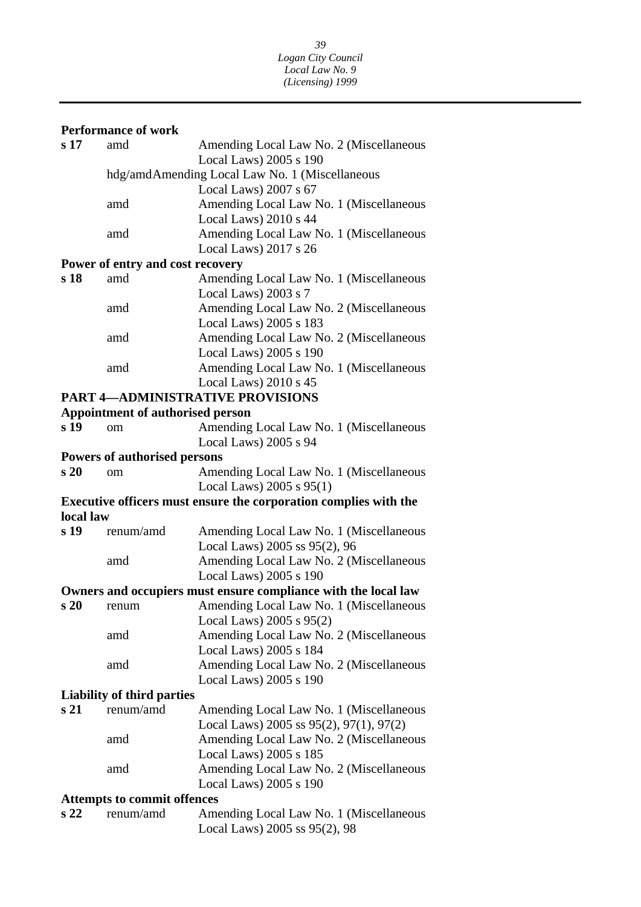### **Performance of work**

|                                    | Periormance of work                 |                                                                                            |
|------------------------------------|-------------------------------------|--------------------------------------------------------------------------------------------|
| s 17                               | amd                                 | Amending Local Law No. 2 (Miscellaneous                                                    |
|                                    |                                     | Local Laws) 2005 s 190                                                                     |
|                                    |                                     | hdg/amdAmending Local Law No. 1 (Miscellaneous                                             |
|                                    |                                     | Local Laws) 2007 s 67                                                                      |
|                                    | amd                                 | Amending Local Law No. 1 (Miscellaneous                                                    |
|                                    |                                     | Local Laws) 2010 s 44                                                                      |
|                                    | amd                                 | Amending Local Law No. 1 (Miscellaneous                                                    |
|                                    |                                     | Local Laws) 2017 s 26                                                                      |
|                                    | Power of entry and cost recovery    |                                                                                            |
| s 18                               | amd                                 | Amending Local Law No. 1 (Miscellaneous                                                    |
|                                    |                                     | Local Laws) 2003 s 7                                                                       |
|                                    | amd                                 | Amending Local Law No. 2 (Miscellaneous                                                    |
|                                    |                                     | Local Laws) 2005 s 183                                                                     |
|                                    | amd                                 | Amending Local Law No. 2 (Miscellaneous                                                    |
|                                    |                                     | Local Laws) 2005 s 190                                                                     |
|                                    | amd                                 | Amending Local Law No. 1 (Miscellaneous                                                    |
|                                    |                                     | Local Laws) 2010 s 45                                                                      |
|                                    |                                     | <b>PART 4-ADMINISTRATIVE PROVISIONS</b>                                                    |
|                                    | Appointment of authorised person    |                                                                                            |
| s 19                               | om                                  | Amending Local Law No. 1 (Miscellaneous                                                    |
|                                    |                                     | Local Laws) 2005 s 94                                                                      |
|                                    | <b>Powers of authorised persons</b> |                                                                                            |
| s20                                | om                                  | Amending Local Law No. 1 (Miscellaneous                                                    |
|                                    |                                     | Local Laws) 2005 s 95(1)                                                                   |
|                                    |                                     | Executive officers must ensure the corporation complies with the                           |
| local law                          |                                     |                                                                                            |
| s 19                               | renum/amd                           | Amending Local Law No. 1 (Miscellaneous                                                    |
|                                    |                                     | Local Laws) 2005 ss 95(2), 96                                                              |
|                                    | amd                                 | Amending Local Law No. 2 (Miscellaneous                                                    |
|                                    |                                     | Local Laws) 2005 s 190                                                                     |
|                                    |                                     | Owners and occupiers must ensure compliance with the local law                             |
| s20                                | renum                               | Amending Local Law No. 1 (Miscellaneous                                                    |
|                                    |                                     | Local Laws) 2005 s 95(2)                                                                   |
|                                    | amd                                 | Amending Local Law No. 2 (Miscellaneous                                                    |
|                                    |                                     | Local Laws) 2005 s 184                                                                     |
|                                    | amd                                 | Amending Local Law No. 2 (Miscellaneous                                                    |
|                                    |                                     | Local Laws) 2005 s 190                                                                     |
|                                    | <b>Liability of third parties</b>   |                                                                                            |
| s <sub>21</sub>                    | renum/amd                           |                                                                                            |
|                                    |                                     | Amending Local Law No. 1 (Miscellaneous<br>Local Laws) 2005 ss $95(2)$ , $97(1)$ , $97(2)$ |
|                                    |                                     |                                                                                            |
|                                    | amd                                 | Amending Local Law No. 2 (Miscellaneous                                                    |
|                                    |                                     | Local Laws) 2005 s 185                                                                     |
|                                    | amd                                 | Amending Local Law No. 2 (Miscellaneous                                                    |
|                                    |                                     | Local Laws) 2005 s 190                                                                     |
| <b>Attempts to commit offences</b> |                                     |                                                                                            |
| s <sub>22</sub>                    | renum/amd                           | Amending Local Law No. 1 (Miscellaneous                                                    |
|                                    |                                     | Local Laws) 2005 ss 95(2), 98                                                              |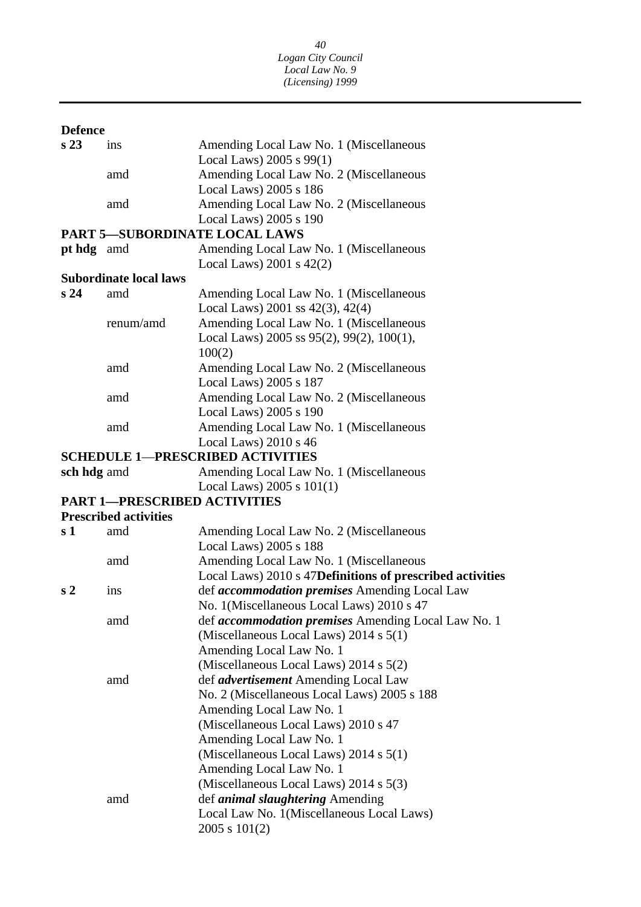### **Defence**

| s 23 | ins                          | Amending Local Law No. 1 (Miscellaneous                    |
|------|------------------------------|------------------------------------------------------------|
|      |                              | Local Laws) 2005 s 99(1)                                   |
|      | amd                          | Amending Local Law No. 2 (Miscellaneous                    |
|      |                              | Local Laws) 2005 s 186                                     |
|      | amd                          | Amending Local Law No. 2 (Miscellaneous                    |
|      |                              | Local Laws) 2005 s 190                                     |
|      |                              | PART 5—SUBORDINATE LOCAL LAWS                              |
|      | pt hdg amd                   | Amending Local Law No. 1 (Miscellaneous                    |
|      |                              | Local Laws) $2001$ s $42(2)$                               |
|      | Subordinate local laws       |                                                            |
| s 24 | amd                          | Amending Local Law No. 1 (Miscellaneous                    |
|      |                              | Local Laws) 2001 ss $42(3)$ , $42(4)$                      |
|      | renum/amd                    | Amending Local Law No. 1 (Miscellaneous                    |
|      |                              | Local Laws) 2005 ss $95(2)$ , $99(2)$ , $100(1)$ ,         |
|      |                              | 100(2)                                                     |
|      | amd                          | Amending Local Law No. 2 (Miscellaneous                    |
|      |                              | Local Laws) 2005 s 187                                     |
|      | amd                          | Amending Local Law No. 2 (Miscellaneous                    |
|      |                              | Local Laws) 2005 s 190                                     |
|      | amd                          | Amending Local Law No. 1 (Miscellaneous                    |
|      |                              | Local Laws) 2010 s 46                                      |
|      |                              | <b>SCHEDULE 1—PRESCRIBED ACTIVITIES</b>                    |
|      | sch hdg amd                  | Amending Local Law No. 1 (Miscellaneous                    |
|      |                              | Local Laws) $2005 s 101(1)$                                |
|      |                              | <b>PART 1-PRESCRIBED ACTIVITIES</b>                        |
|      | <b>Prescribed activities</b> |                                                            |
| s 1  | amd                          | Amending Local Law No. 2 (Miscellaneous                    |
|      |                              | Local Laws) 2005 s 188                                     |
|      | amd                          | Amending Local Law No. 1 (Miscellaneous                    |
|      |                              | Local Laws) 2010 s 47D efinitions of prescribed activities |
| s 2  | ins                          | def accommodation premises Amending Local Law              |
|      |                              | No. 1(Miscellaneous Local Laws) 2010 s 47                  |
|      | amd                          | def <i>accommodation premises</i> Amending Local Law No. 1 |
|      |                              | (Miscellaneous Local Laws) $2014$ s $5(1)$                 |
|      |                              | Amending Local Law No. 1                                   |
|      |                              | (Miscellaneous Local Laws) $2014 s 5(2)$                   |
|      | amd                          | def <i>advertisement</i> Amending Local Law                |
|      |                              | No. 2 (Miscellaneous Local Laws) 2005 s 188                |
|      |                              | Amending Local Law No. 1                                   |
|      |                              | (Miscellaneous Local Laws) 2010 s 47                       |
|      |                              | Amending Local Law No. 1                                   |
|      |                              | (Miscellaneous Local Laws) 2014 s 5(1)                     |
|      |                              | Amending Local Law No. 1                                   |
|      |                              | (Miscellaneous Local Laws) 2014 s 5(3)                     |
|      | amd                          | def <i>animal slaughtering</i> Amending                    |
|      |                              |                                                            |
|      |                              |                                                            |
|      |                              | Local Law No. 1(Miscellaneous Local Laws)<br>2005 s 101(2) |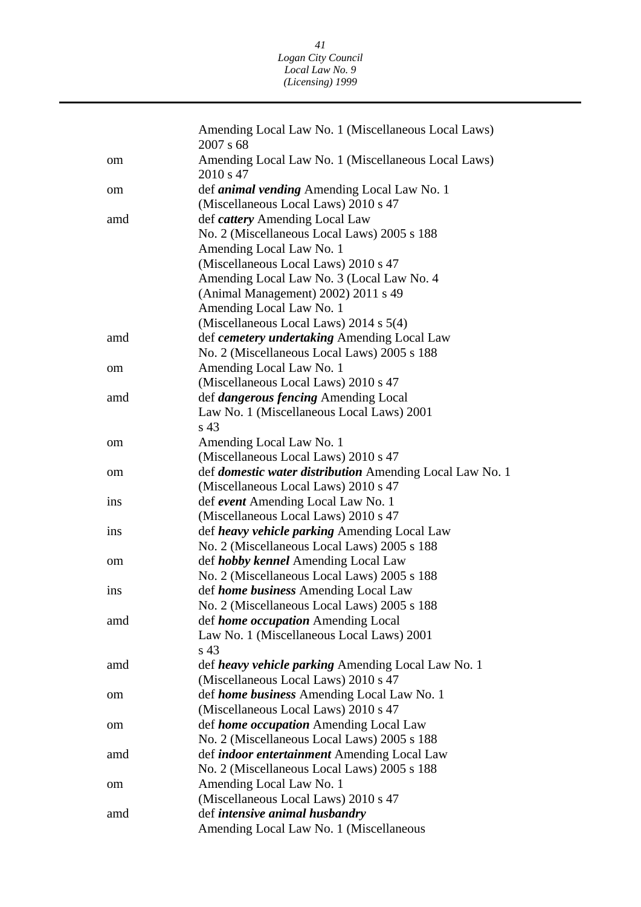|     | Amending Local Law No. 1 (Miscellaneous Local Laws)<br>2007 s 68 |
|-----|------------------------------------------------------------------|
| om  | Amending Local Law No. 1 (Miscellaneous Local Laws)<br>2010 s 47 |
| om  | def <i>animal vending</i> Amending Local Law No. 1               |
|     | (Miscellaneous Local Laws) 2010 s 47                             |
| amd | def cattery Amending Local Law                                   |
|     | No. 2 (Miscellaneous Local Laws) 2005 s 188                      |
|     | Amending Local Law No. 1                                         |
|     | (Miscellaneous Local Laws) 2010 s 47                             |
|     | Amending Local Law No. 3 (Local Law No. 4)                       |
|     | (Animal Management) 2002) 2011 s 49                              |
|     | Amending Local Law No. 1                                         |
|     | (Miscellaneous Local Laws) 2014 s 5(4)                           |
| amd | def cemetery undertaking Amending Local Law                      |
|     | No. 2 (Miscellaneous Local Laws) 2005 s 188                      |
| om  | Amending Local Law No. 1                                         |
|     | (Miscellaneous Local Laws) 2010 s 47                             |
| amd | def <i>dangerous fencing</i> Amending Local                      |
|     | Law No. 1 (Miscellaneous Local Laws) 2001                        |
|     | s 43                                                             |
| om  | Amending Local Law No. 1                                         |
|     | (Miscellaneous Local Laws) 2010 s 47                             |
| om  | def <i>domestic water distribution</i> Amending Local Law No. 1  |
|     | (Miscellaneous Local Laws) 2010 s 47                             |
| ins | def event Amending Local Law No. 1                               |
|     | (Miscellaneous Local Laws) 2010 s 47                             |
| ins | def heavy vehicle parking Amending Local Law                     |
|     | No. 2 (Miscellaneous Local Laws) 2005 s 188                      |
| om  | def <i>hobby kennel</i> Amending Local Law                       |
|     | No. 2 (Miscellaneous Local Laws) 2005 s 188                      |
| ins | def home business Amending Local Law                             |
|     | No. 2 (Miscellaneous Local Laws) 2005 s 188                      |
| amd | def <i>home occupation</i> Amending Local                        |
|     | Law No. 1 (Miscellaneous Local Laws) 2001                        |
|     | s <sub>43</sub>                                                  |
| amd | def <i>heavy vehicle parking</i> Amending Local Law No. 1        |
|     | (Miscellaneous Local Laws) 2010 s 47                             |
| om  | def home business Amending Local Law No. 1                       |
|     | (Miscellaneous Local Laws) 2010 s 47                             |
| om  | def home occupation Amending Local Law                           |
|     | No. 2 (Miscellaneous Local Laws) 2005 s 188                      |
| amd | def <i>indoor entertainment</i> Amending Local Law               |
|     | No. 2 (Miscellaneous Local Laws) 2005 s 188                      |
| om  | Amending Local Law No. 1                                         |
|     | (Miscellaneous Local Laws) 2010 s 47                             |
| amd | def intensive animal husbandry                                   |
|     | Amending Local Law No. 1 (Miscellaneous                          |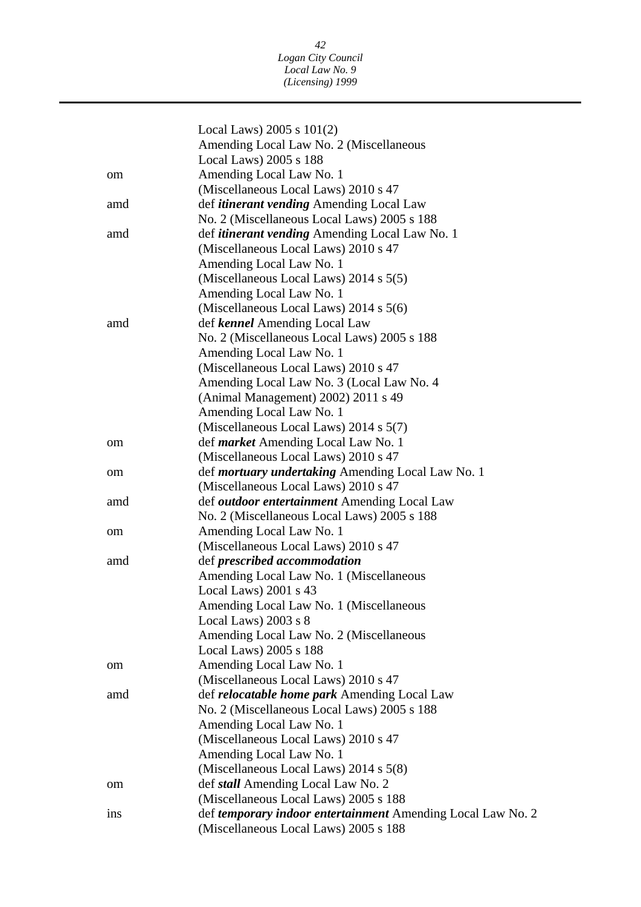|     | Local Laws) $2005 s 101(2)$                                 |
|-----|-------------------------------------------------------------|
|     | Amending Local Law No. 2 (Miscellaneous                     |
|     | Local Laws) 2005 s 188                                      |
| om  | Amending Local Law No. 1                                    |
|     | (Miscellaneous Local Laws) 2010 s 47                        |
| amd | def <i>itinerant vending</i> Amending Local Law             |
|     | No. 2 (Miscellaneous Local Laws) 2005 s 188                 |
| amd | def <i>itinerant vending</i> Amending Local Law No. 1       |
|     | (Miscellaneous Local Laws) 2010 s 47                        |
|     | Amending Local Law No. 1                                    |
|     | (Miscellaneous Local Laws) $2014$ s $5(5)$                  |
|     | Amending Local Law No. 1                                    |
|     | (Miscellaneous Local Laws) 2014 s 5(6)                      |
| amd | def kennel Amending Local Law                               |
|     | No. 2 (Miscellaneous Local Laws) 2005 s 188                 |
|     | Amending Local Law No. 1                                    |
|     | (Miscellaneous Local Laws) 2010 s 47                        |
|     | Amending Local Law No. 3 (Local Law No. 4)                  |
|     | (Animal Management) 2002) 2011 s 49                         |
|     | Amending Local Law No. 1                                    |
|     | (Miscellaneous Local Laws) 2014 s 5(7)                      |
| om  | def <i>market</i> Amending Local Law No. 1                  |
|     | (Miscellaneous Local Laws) 2010 s 47                        |
|     | def <i>mortuary undertaking</i> Amending Local Law No. 1    |
| om  | (Miscellaneous Local Laws) 2010 s 47                        |
| amd | def <i>outdoor entertainment</i> Amending Local Law         |
|     | No. 2 (Miscellaneous Local Laws) 2005 s 188                 |
|     | Amending Local Law No. 1                                    |
| om  | (Miscellaneous Local Laws) 2010 s 47                        |
| amd | def prescribed accommodation                                |
|     | Amending Local Law No. 1 (Miscellaneous                     |
|     | Local Laws) 2001 s 43                                       |
|     | Amending Local Law No. 1 (Miscellaneous                     |
|     | Local Laws) $2003$ s $8$                                    |
|     | Amending Local Law No. 2 (Miscellaneous                     |
|     | Local Laws) 2005 s 188                                      |
|     | Amending Local Law No. 1                                    |
| om  | (Miscellaneous Local Laws) 2010 s 47                        |
| amd | def <i>relocatable home park</i> Amending Local Law         |
|     | No. 2 (Miscellaneous Local Laws) 2005 s 188                 |
|     | Amending Local Law No. 1                                    |
|     | (Miscellaneous Local Laws) 2010 s 47                        |
|     |                                                             |
|     | Amending Local Law No. 1                                    |
|     | (Miscellaneous Local Laws) 2014 s 5(8)                      |
| om  | def <i>stall</i> Amending Local Law No. 2                   |
|     | (Miscellaneous Local Laws) 2005 s 188                       |
| ins | def temporary indoor entertainment Amending Local Law No. 2 |
|     | (Miscellaneous Local Laws) 2005 s 188                       |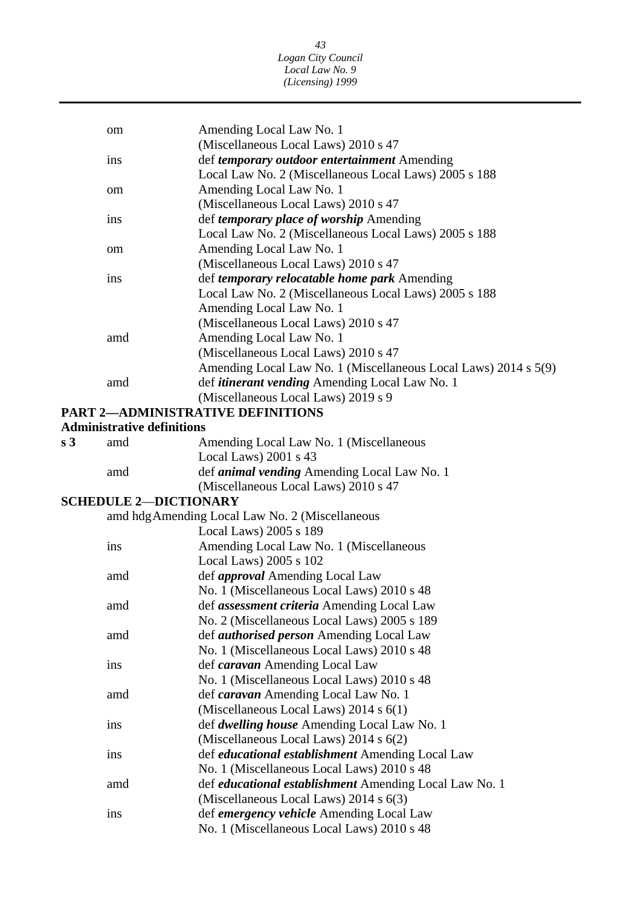|                | om                                | Amending Local Law No. 1                                        |
|----------------|-----------------------------------|-----------------------------------------------------------------|
|                |                                   | (Miscellaneous Local Laws) 2010 s 47                            |
|                | ins                               | def temporary outdoor entertainment Amending                    |
|                |                                   | Local Law No. 2 (Miscellaneous Local Laws) 2005 s 188           |
|                | om                                | Amending Local Law No. 1                                        |
|                |                                   | (Miscellaneous Local Laws) 2010 s 47                            |
|                | ins                               | def <i>temporary place of worship</i> Amending                  |
|                |                                   | Local Law No. 2 (Miscellaneous Local Laws) 2005 s 188           |
|                | om                                | Amending Local Law No. 1                                        |
|                |                                   | (Miscellaneous Local Laws) 2010 s 47                            |
|                | ins                               | def temporary relocatable home park Amending                    |
|                |                                   | Local Law No. 2 (Miscellaneous Local Laws) 2005 s 188           |
|                |                                   | Amending Local Law No. 1                                        |
|                |                                   | (Miscellaneous Local Laws) 2010 s 47                            |
|                | amd                               | Amending Local Law No. 1                                        |
|                |                                   | (Miscellaneous Local Laws) 2010 s 47                            |
|                |                                   | Amending Local Law No. 1 (Miscellaneous Local Laws) 2014 s 5(9) |
|                | amd                               | def <i>itinerant vending</i> Amending Local Law No. 1           |
|                |                                   | (Miscellaneous Local Laws) 2019 s 9                             |
|                |                                   | <b>PART 2-ADMINISTRATIVE DEFINITIONS</b>                        |
|                | <b>Administrative definitions</b> |                                                                 |
| s <sub>3</sub> | amd                               | Amending Local Law No. 1 (Miscellaneous                         |
|                |                                   | Local Laws) 2001 s 43                                           |
|                | amd                               | def <i>animal vending</i> Amending Local Law No. 1              |
|                |                                   | (Miscellaneous Local Laws) 2010 s 47                            |
|                | <b>SCHEDULE 2-DICTIONARY</b>      |                                                                 |
|                |                                   | amd hdg Amending Local Law No. 2 (Miscellaneous                 |
|                |                                   | Local Laws) 2005 s 189                                          |
|                | ins                               | Amending Local Law No. 1 (Miscellaneous                         |
|                |                                   | Local Laws) 2005 s 102                                          |
|                | amd                               | def <i>approval</i> Amending Local Law                          |
|                |                                   | No. 1 (Miscellaneous Local Laws) 2010 s 48                      |
|                | amd                               | def <i>assessment criteria</i> Amending Local Law               |
|                |                                   | No. 2 (Miscellaneous Local Laws) 2005 s 189                     |
|                | amd                               | def <i>authorised person</i> Amending Local Law                 |
|                |                                   | No. 1 (Miscellaneous Local Laws) 2010 s 48                      |
|                | ins                               | def <i>caravan</i> Amending Local Law                           |
|                |                                   | No. 1 (Miscellaneous Local Laws) 2010 s 48                      |
|                | amd                               | def caravan Amending Local Law No. 1                            |
|                |                                   | (Miscellaneous Local Laws) 2014 s 6(1)                          |
|                | ins                               | def dwelling house Amending Local Law No. 1                     |
|                |                                   | (Miscellaneous Local Laws) 2014 s 6(2)                          |
|                | ins                               | def educational establishment Amending Local Law                |
|                |                                   | No. 1 (Miscellaneous Local Laws) 2010 s 48                      |
|                | amd                               | def <i>educational establishment</i> Amending Local Law No. 1   |
|                |                                   | (Miscellaneous Local Laws) 2014 s 6(3)                          |
|                | ins                               | def emergency vehicle Amending Local Law                        |
|                |                                   | No. 1 (Miscellaneous Local Laws) 2010 s 48                      |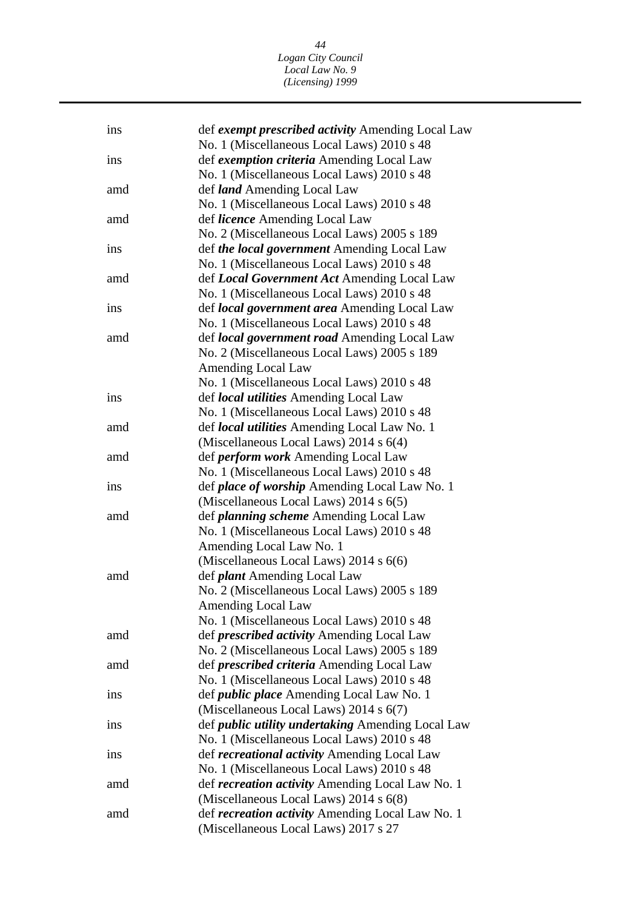| ins | def exempt prescribed activity Amending Local Law                                  |
|-----|------------------------------------------------------------------------------------|
|     | No. 1 (Miscellaneous Local Laws) 2010 s 48                                         |
| ins | def exemption criteria Amending Local Law                                          |
|     | No. 1 (Miscellaneous Local Laws) 2010 s 48                                         |
| amd | def <i>land</i> Amending Local Law                                                 |
|     | No. 1 (Miscellaneous Local Laws) 2010 s 48                                         |
| amd | def <i>licence</i> Amending Local Law                                              |
|     | No. 2 (Miscellaneous Local Laws) 2005 s 189                                        |
| ins | def the local government Amending Local Law                                        |
|     | No. 1 (Miscellaneous Local Laws) 2010 s 48                                         |
| amd | def Local Government Act Amending Local Law                                        |
|     | No. 1 (Miscellaneous Local Laws) 2010 s 48                                         |
| ins | def local government area Amending Local Law                                       |
|     | No. 1 (Miscellaneous Local Laws) 2010 s 48                                         |
| amd | def <i>local government road</i> Amending Local Law                                |
|     | No. 2 (Miscellaneous Local Laws) 2005 s 189                                        |
|     | Amending Local Law                                                                 |
|     | No. 1 (Miscellaneous Local Laws) 2010 s 48                                         |
| ins | def <i>local utilities</i> Amending Local Law                                      |
|     | No. 1 (Miscellaneous Local Laws) 2010 s 48                                         |
| amd | def <i>local utilities</i> Amending Local Law No. 1                                |
|     | (Miscellaneous Local Laws) 2014 s 6(4)                                             |
| amd | def <i>perform</i> work Amending Local Law                                         |
|     | No. 1 (Miscellaneous Local Laws) 2010 s 48                                         |
| ins | def <i>place of worship</i> Amending Local Law No. 1                               |
|     | (Miscellaneous Local Laws) 2014 s 6(5)                                             |
| amd | def <i>planning scheme</i> Amending Local Law                                      |
|     | No. 1 (Miscellaneous Local Laws) 2010 s 48                                         |
|     | Amending Local Law No. 1                                                           |
|     | (Miscellaneous Local Laws) 2014 s 6(6)                                             |
| amd |                                                                                    |
|     | def <i>plant</i> Amending Local Law<br>No. 2 (Miscellaneous Local Laws) 2005 s 189 |
|     |                                                                                    |
|     | <b>Amending Local Law</b>                                                          |
|     | No. 1 (Miscellaneous Local Laws) 2010 s 48                                         |
| amd | def <i>prescribed activity</i> Amending Local Law                                  |
|     | No. 2 (Miscellaneous Local Laws) 2005 s 189                                        |
| amd | def <i>prescribed criteria</i> Amending Local Law                                  |
|     | No. 1 (Miscellaneous Local Laws) 2010 s 48                                         |
| ins | def <i>public place</i> Amending Local Law No. 1                                   |
|     | (Miscellaneous Local Laws) 2014 s 6(7)                                             |
| ins | def <i>public utility undertaking</i> Amending Local Law                           |
|     | No. 1 (Miscellaneous Local Laws) 2010 s 48                                         |
| ins | def <i>recreational activity</i> Amending Local Law                                |
|     | No. 1 (Miscellaneous Local Laws) 2010 s 48                                         |
| amd | def <i>recreation activity</i> Amending Local Law No. 1                            |
|     | (Miscellaneous Local Laws) 2014 s 6(8)                                             |
| amd | def <i>recreation activity</i> Amending Local Law No. 1                            |
|     | (Miscellaneous Local Laws) 2017 s 27                                               |